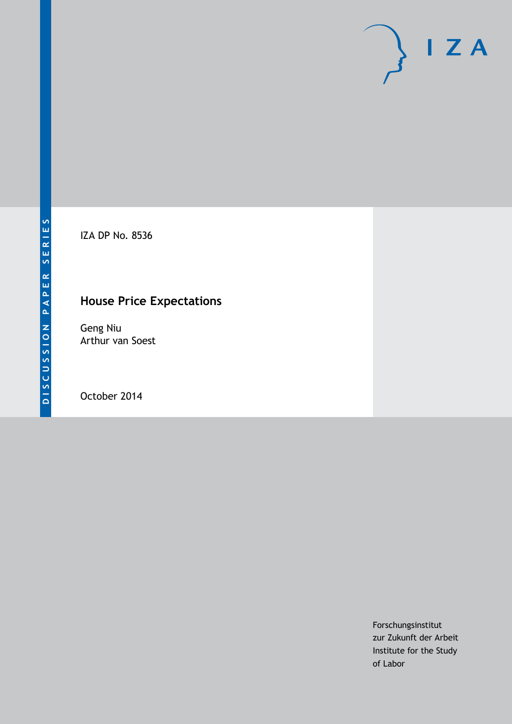

IZA DP No. 8536

## **House Price Expectations**

Geng Niu Arthur van Soest

October 2014

Forschungsinstitut zur Zukunft der Arbeit Institute for the Study of Labor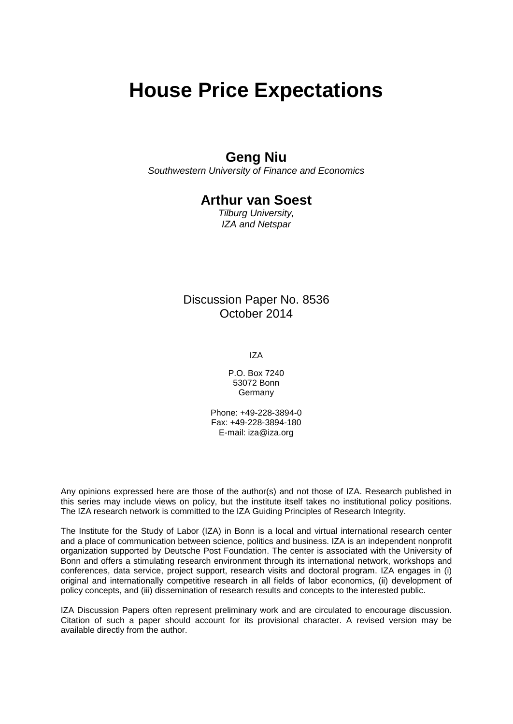# **House Price Expectations**

## **Geng Niu**

*Southwestern University of Finance and Economics*

### **Arthur van Soest**

*Tilburg University, IZA and Netspar*

### Discussion Paper No. 8536 October 2014

IZA

P.O. Box 7240 53072 Bonn Germany

Phone: +49-228-3894-0 Fax: +49-228-3894-180 E-mail: [iza@iza.org](mailto:iza@iza.org)

Any opinions expressed here are those of the author(s) and not those of IZA. Research published in this series may include views on policy, but the institute itself takes no institutional policy positions. The IZA research network is committed to the IZA Guiding Principles of Research Integrity.

The Institute for the Study of Labor (IZA) in Bonn is a local and virtual international research center and a place of communication between science, politics and business. IZA is an independent nonprofit organization supported by Deutsche Post Foundation. The center is associated with the University of Bonn and offers a stimulating research environment through its international network, workshops and conferences, data service, project support, research visits and doctoral program. IZA engages in (i) original and internationally competitive research in all fields of labor economics, (ii) development of policy concepts, and (iii) dissemination of research results and concepts to the interested public.

IZA Discussion Papers often represent preliminary work and are circulated to encourage discussion. Citation of such a paper should account for its provisional character. A revised version may be available directly from the author.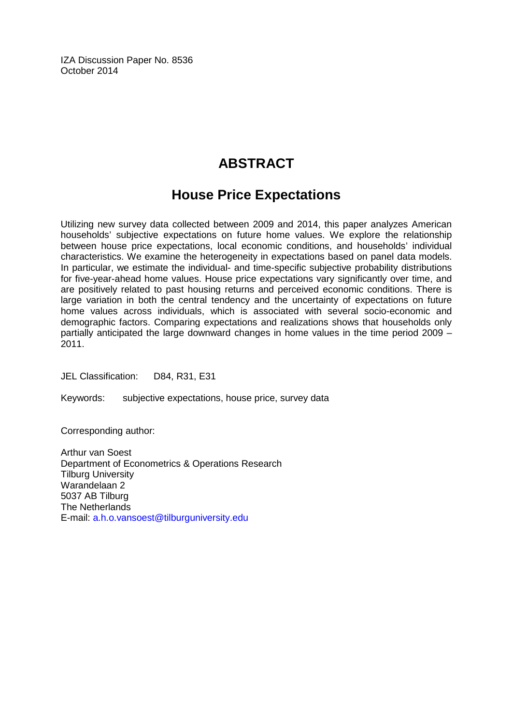IZA Discussion Paper No. 8536 October 2014

## **ABSTRACT**

## **House Price Expectations**

Utilizing new survey data collected between 2009 and 2014, this paper analyzes American households' subjective expectations on future home values. We explore the relationship between house price expectations, local economic conditions, and households' individual characteristics. We examine the heterogeneity in expectations based on panel data models. In particular, we estimate the individual- and time-specific subjective probability distributions for five-year-ahead home values. House price expectations vary significantly over time, and are positively related to past housing returns and perceived economic conditions. There is large variation in both the central tendency and the uncertainty of expectations on future home values across individuals, which is associated with several socio-economic and demographic factors. Comparing expectations and realizations shows that households only partially anticipated the large downward changes in home values in the time period 2009 – 2011.

JEL Classification: D84, R31, E31

Keywords: subjective expectations, house price, survey data

Corresponding author:

Arthur van Soest Department of Econometrics & Operations Research Tilburg University Warandelaan 2 5037 AB Tilburg The Netherlands E-mail: [a.h.o.vansoest@tilburguniversity.edu](mailto:a.h.o.vansoest@tilburguniversity.edu)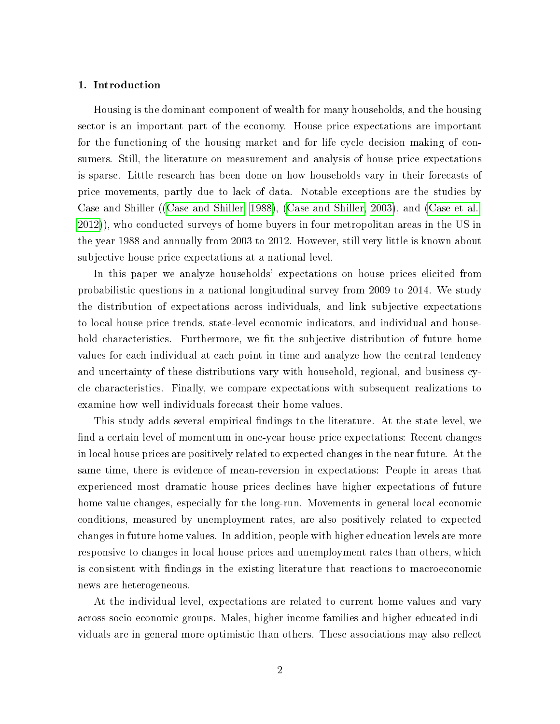#### 1. Introduction

Housing is the dominant component of wealth for many households, and the housing sector is an important part of the economy. House price expectations are important for the functioning of the housing market and for life cycle decision making of consumers. Still, the literature on measurement and analysis of house price expectations is sparse. Little research has been done on how households vary in their forecasts of price movements, partly due to lack of data. Notable exceptions are the studies by Case and Shiller ([\(Case and Shiller, 1988\)](#page-32-0), [\(Case and Shiller, 2003\)](#page-32-1), and [\(Case et al.,](#page-32-2) [2012\)](#page-32-2)), who conducted surveys of home buyers in four metropolitan areas in the US in the year 1988 and annually from 2003 to 2012. However, still very little is known about subjective house price expectations at a national level.

In this paper we analyze households' expectations on house prices elicited from probabilistic questions in a national longitudinal survey from 2009 to 2014. We study the distribution of expectations across individuals, and link subjective expectations to local house price trends, state-level economic indicators, and individual and household characteristics. Furthermore, we fit the subjective distribution of future home values for each individual at each point in time and analyze how the central tendency and uncertainty of these distributions vary with household, regional, and business cycle characteristics. Finally, we compare expectations with subsequent realizations to examine how well individuals forecast their home values.

This study adds several empirical findings to the literature. At the state level, we find a certain level of momentum in one-year house price expectations: Recent changes in local house prices are positively related to expected changes in the near future. At the same time, there is evidence of mean-reversion in expectations: People in areas that experienced most dramatic house prices declines have higher expectations of future home value changes, especially for the long-run. Movements in general local economic conditions, measured by unemployment rates, are also positively related to expected changes in future home values. In addition, people with higher education levels are more responsive to changes in local house prices and unemployment rates than others, which is consistent with ndings in the existing literature that reactions to macroeconomic news are heterogeneous.

At the individual level, expectations are related to current home values and vary across socio-economic groups. Males, higher income families and higher educated individuals are in general more optimistic than others. These associations may also reflect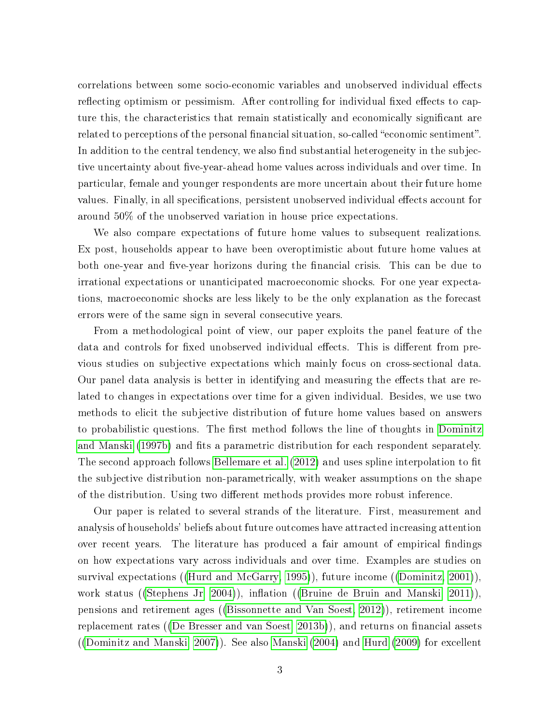correlations between some socio-economic variables and unobserved individual effects reflecting optimism or pessimism. After controlling for individual fixed effects to capture this, the characteristics that remain statistically and economically signicant are related to perceptions of the personal financial situation, so-called "economic sentiment". In addition to the central tendency, we also find substantial heterogeneity in the subjective uncertainty about five-year-ahead home values across individuals and over time. In particular, female and younger respondents are more uncertain about their future home values. Finally, in all specifications, persistent unobserved individual effects account for around 50% of the unobserved variation in house price expectations.

We also compare expectations of future home values to subsequent realizations. Ex post, households appear to have been overoptimistic about future home values at both one-year and five-year horizons during the financial crisis. This can be due to irrational expectations or unanticipated macroeconomic shocks. For one year expectations, macroeconomic shocks are less likely to be the only explanation as the forecast errors were of the same sign in several consecutive years.

From a methodological point of view, our paper exploits the panel feature of the data and controls for fixed unobserved individual effects. This is different from previous studies on subjective expectations which mainly focus on cross-sectional data. Our panel data analysis is better in identifying and measuring the effects that are related to changes in expectations over time for a given individual. Besides, we use two methods to elicit the subjective distribution of future home values based on answers to probabilistic questions. The first method follows the line of thoughts in [Dominitz](#page-33-0) [and Manski](#page-33-0) [\(1997b\)](#page-33-0) and fits a parametric distribution for each respondent separately. The second approach follows [Bellemare et al.](#page-32-3) [\(2012\)](#page-32-3) and uses spline interpolation to fit the subjective distribution non-parametrically, with weaker assumptions on the shape of the distribution. Using two different methods provides more robust inference.

Our paper is related to several strands of the literature. First, measurement and analysis of households' beliefs about future outcomes have attracted increasing attention over recent years. The literature has produced a fair amount of empirical findings on how expectations vary across individuals and over time. Examples are studies on survival expectations ([\(Hurd and McGarry, 1995\)](#page-34-0)), future income ([\(Dominitz, 2001\)](#page-33-1)), work status ([\(Stephens Jr, 2004\)](#page-35-0)), inflation ([\(Bruine de Bruin and Manski, 2011\)](#page-32-4)). pensions and retirement ages ([\(Bissonnette and Van Soest, 2012\)](#page-32-5)), retirement income replacement rates ([\(De Bresser and van Soest, 2013b\)](#page-33-2)), and returns on financial assets ([\(Dominitz and Manski, 2007\)](#page-33-3)). See also [Manski](#page-35-1) [\(2004\)](#page-35-1) and [Hurd](#page-34-1) [\(2009\)](#page-34-1) for excellent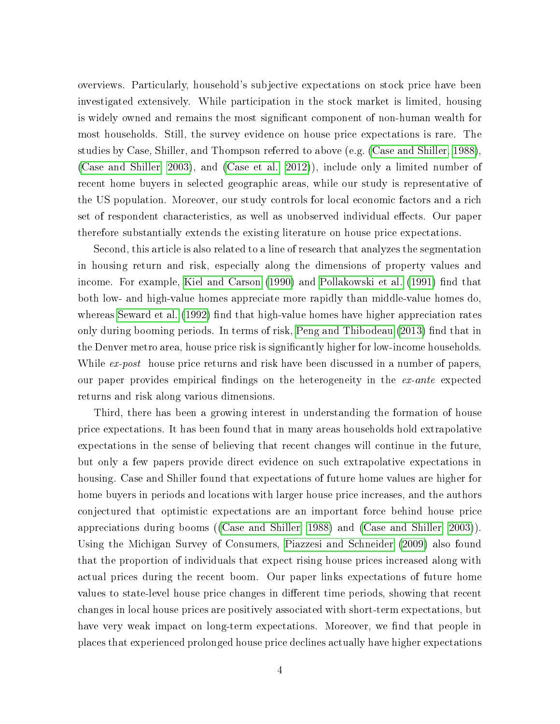overviews. Particularly, household's subjective expectations on stock price have been investigated extensively. While participation in the stock market is limited, housing is widely owned and remains the most significant component of non-human wealth for most households. Still, the survey evidence on house price expectations is rare. The studies by Case, Shiller, and Thompson referred to above (e.g. [\(Case and Shiller, 1988\)](#page-32-0), [\(Case and Shiller, 2003\)](#page-32-1), and [\(Case et al., 2012\)](#page-32-2)), include only a limited number of recent home buyers in selected geographic areas, while our study is representative of the US population. Moreover, our study controls for local economic factors and a rich set of respondent characteristics, as well as unobserved individual effects. Our paper therefore substantially extends the existing literature on house price expectations.

Second, this article is also related to a line of research that analyzes the segmentation in housing return and risk, especially along the dimensions of property values and income. For example, [Kiel and Carson](#page-34-2) [\(1990\)](#page-34-2) and [Pollakowski et al.](#page-35-2) [\(1991\)](#page-35-2) find that both low- and high-value homes appreciate more rapidly than middle-value homes do, whereas [Seward et al.](#page-35-3)  $(1992)$  find that high-value homes have higher appreciation rates only during booming periods. In terms of risk, [Peng and Thibodeau](#page-35-4) [\(2013\)](#page-35-4) find that in the Denver metro area, house price risk is significantly higher for low-income households. While ex-post house price returns and risk have been discussed in a number of papers, our paper provides empirical findings on the heterogeneity in the ex-ante expected returns and risk along various dimensions.

Third, there has been a growing interest in understanding the formation of house price expectations. It has been found that in many areas households hold extrapolative expectations in the sense of believing that recent changes will continue in the future, but only a few papers provide direct evidence on such extrapolative expectations in housing. Case and Shiller found that expectations of future home values are higher for home buyers in periods and locations with larger house price increases, and the authors conjectured that optimistic expectations are an important force behind house price appreciations during booms ([\(Case and Shiller, 1988\)](#page-32-0) and [\(Case and Shiller, 2003\)](#page-32-1)). Using the Michigan Survey of Consumers, [Piazzesi and Schneider](#page-35-5) [\(2009\)](#page-35-5) also found that the proportion of individuals that expect rising house prices increased along with actual prices during the recent boom. Our paper links expectations of future home values to state-level house price changes in different time periods, showing that recent changes in local house prices are positively associated with short-term expectations, but have very weak impact on long-term expectations. Moreover, we find that people in places that experienced prolonged house price declines actually have higher expectations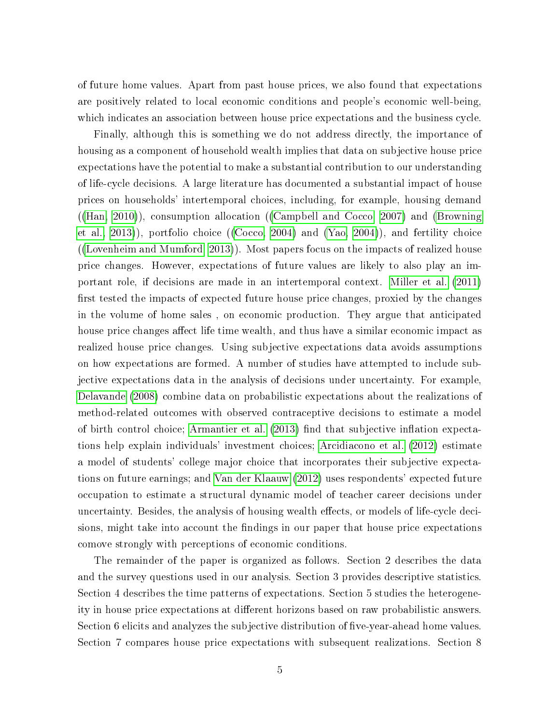of future home values. Apart from past house prices, we also found that expectations are positively related to local economic conditions and people's economic well-being, which indicates an association between house price expectations and the business cycle.

Finally, although this is something we do not address directly, the importance of housing as a component of household wealth implies that data on subjective house price expectations have the potential to make a substantial contribution to our understanding of life-cycle decisions. A large literature has documented a substantial impact of house prices on households' intertemporal choices, including, for example, housing demand  $((\text{Han}, 2010))$ , consumption allocation  $((\text{Campbell} \text{ and } \text{Cocco}, 2007)$  and  $(\text{Browning})$ [et al., 2013\)](#page-32-7)), portfolio choice ([\(Cocco, 2004\)](#page-33-4) and [\(Yao, 2004\)](#page-35-6)), and fertility choice ([\(Lovenheim and Mumford, 2013\)](#page-35-7)). Most papers focus on the impacts of realized house price changes. However, expectations of future values are likely to also play an important role, if decisions are made in an intertemporal context. [Miller et al.](#page-35-8) [\(2011\)](#page-35-8) first tested the impacts of expected future house price changes, proxied by the changes in the volume of home sales , on economic production. They argue that anticipated house price changes affect life time wealth, and thus have a similar economic impact as realized house price changes. Using subjective expectations data avoids assumptions on how expectations are formed. A number of studies have attempted to include subjective expectations data in the analysis of decisions under uncertainty. For example, [Delavande](#page-33-5) [\(2008\)](#page-33-5) combine data on probabilistic expectations about the realizations of method-related outcomes with observed contraceptive decisions to estimate a model of birth control choice; [Armantier et al.](#page-32-8)  $(2013)$  find that subjective inflation expectations help explain individuals' investment choices; [Arcidiacono et al.](#page-32-9) [\(2012\)](#page-32-9) estimate a model of students' college major choice that incorporates their subjective expectations on future earnings; and [Van der Klaauw](#page-35-9) [\(2012\)](#page-35-9) uses respondents' expected future occupation to estimate a structural dynamic model of teacher career decisions under uncertainty. Besides, the analysis of housing wealth effects, or models of life-cycle decisions, might take into account the findings in our paper that house price expectations comove strongly with perceptions of economic conditions.

The remainder of the paper is organized as follows. Section 2 describes the data and the survey questions used in our analysis. Section 3 provides descriptive statistics. Section 4 describes the time patterns of expectations. Section 5 studies the heterogeneity in house price expectations at different horizons based on raw probabilistic answers. Section 6 elicits and analyzes the subjective distribution of five-year-ahead home values. Section 7 compares house price expectations with subsequent realizations. Section 8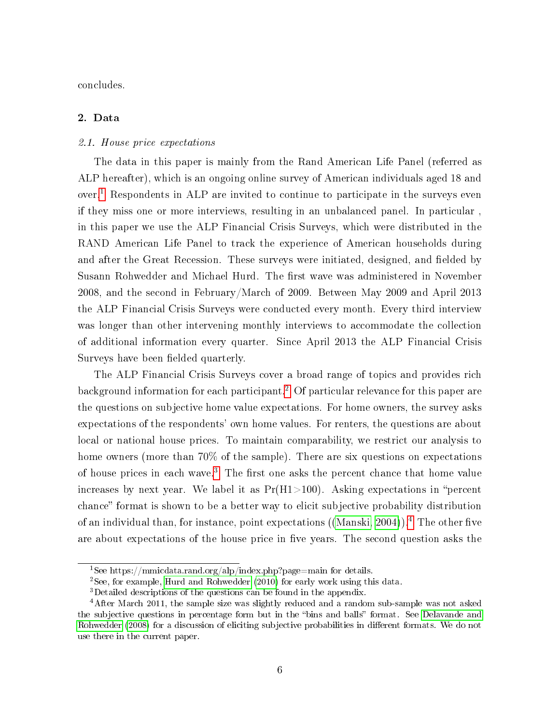concludes.

#### 2. Data

#### 2.1. House price expectations

The data in this paper is mainly from the Rand American Life Panel (referred as ALP hereafter), which is an ongoing online survey of American individuals aged 18 and over.[1](#page--1-0) Respondents in ALP are invited to continue to participate in the surveys even if they miss one or more interviews, resulting in an unbalanced panel. In particular , in this paper we use the ALP Financial Crisis Surveys, which were distributed in the RAND American Life Panel to track the experience of American households during and after the Great Recession. These surveys were initiated, designed, and fielded by Susann Rohwedder and Michael Hurd. The first wave was administered in November 2008, and the second in February/March of 2009. Between May 2009 and April 2013 the ALP Financial Crisis Surveys were conducted every month. Every third interview was longer than other intervening monthly interviews to accommodate the collection of additional information every quarter. Since April 2013 the ALP Financial Crisis Surveys have been fielded quarterly.

The ALP Financial Crisis Surveys cover a broad range of topics and provides rich background information for each participant.[2](#page--1-0) Of particular relevance for this paper are the questions on subjective home value expectations. For home owners, the survey asks expectations of the respondents' own home values. For renters, the questions are about local or national house prices. To maintain comparability, we restrict our analysis to home owners (more than 70% of the sample). There are six questions on expectations of house prices in each wave.<sup>[3](#page--1-0)</sup> The first one asks the percent chance that home value increases by next year. We label it as  $Pr(H1>100)$ . Asking expectations in "percent" chance" format is shown to be a better way to elicit subjective probability distribution of an individual than, for instance, point expectations ([\(Manski, 2004\)](#page-35-1)).<sup>[4](#page--1-0)</sup> The other five are about expectations of the house price in five years. The second question asks the

 $^1\rm{See}$ https://mmicdata.rand.org/alp/index.php?page=main for details.

<sup>2</sup>See, for example, [Hurd and Rohwedder](#page-34-4) [\(2010\)](#page-34-4) for early work using this data.

<sup>3</sup>Detailed descriptions of the questions can be found in the appendix.

<sup>4</sup>After March 2011, the sample size was slightly reduced and a random sub-sample was not asked the subjective questions in percentage form but in the "bins and balls" format. See [Delavande and](#page-33-6) [Rohwedder](#page-33-6) [\(2008\)](#page-33-6) for a discussion of eliciting subjective probabilities in different formats. We do not use there in the current paper.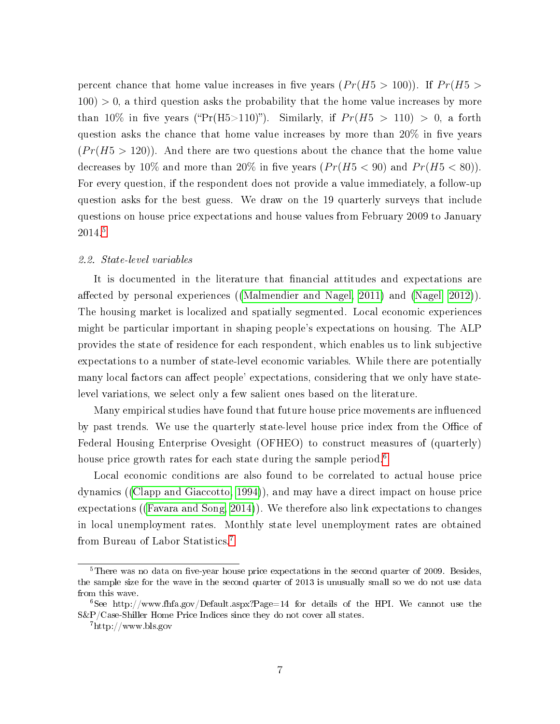percent chance that home value increases in five years  $(Pr(H5 > 100))$ . If  $Pr(H5 >$  $100$ )  $> 0$ , a third question asks the probability that the home value increases by more than 10% in five years ("Pr(H5>110)"). Similarly, if  $Pr(H5 > 110) > 0$ , a forth question asks the chance that home value increases by more than  $20\%$  in five years  $(Pr(H5 > 120))$ . And there are two questions about the chance that the home value decreases by 10% and more than 20% in five years  $(Pr(H5 < 90)$  and  $Pr(H5 < 80))$ . For every question, if the respondent does not provide a value immediately, a follow-up question asks for the best guess. We draw on the 19 quarterly surveys that include questions on house price expectations and house values from February 2009 to January 2014.[5](#page--1-0)

#### 2.2. State-level variables

It is documented in the literature that financial attitudes and expectations are affected by personal experiences ([\(Malmendier and Nagel, 2011\)](#page-35-10) and [\(Nagel, 2012\)](#page-35-11)). The housing market is localized and spatially segmented. Local economic experiences might be particular important in shaping people's expectations on housing. The ALP provides the state of residence for each respondent, which enables us to link subjective expectations to a number of state-level economic variables. While there are potentially many local factors can affect people' expectations, considering that we only have statelevel variations, we select only a few salient ones based on the literature.

Many empirical studies have found that future house price movements are influenced by past trends. We use the quarterly state-level house price index from the Office of Federal Housing Enterprise Ovesight (OFHEO) to construct measures of (quarterly) house price growth rates for each state during the sample period.<sup>[6](#page--1-0)</sup>

Local economic conditions are also found to be correlated to actual house price dynamics ([\(Clapp and Giaccotto, 1994\)](#page-32-10)), and may have a direct impact on house price expectations ([\(Favara and Song, 2014\)](#page-33-7)). We therefore also link expectations to changes in local unemployment rates. Monthly state level unemployment rates are obtained from Bureau of Labor Statistics.[7](#page--1-0)

 $5$ There was no data on five-year house price expectations in the second quarter of 2009. Besides, the sample size for the wave in the second quarter of 2013 is unusually small so we do not use data from this wave.

<sup>&</sup>lt;sup>6</sup>See http://www.fhfa.gov/Default.aspx?Page=14 for details of the HPI. We cannot use the S&P/Case-Shiller Home Price Indices since they do not cover all states.

<sup>7</sup>http://www.bls.gov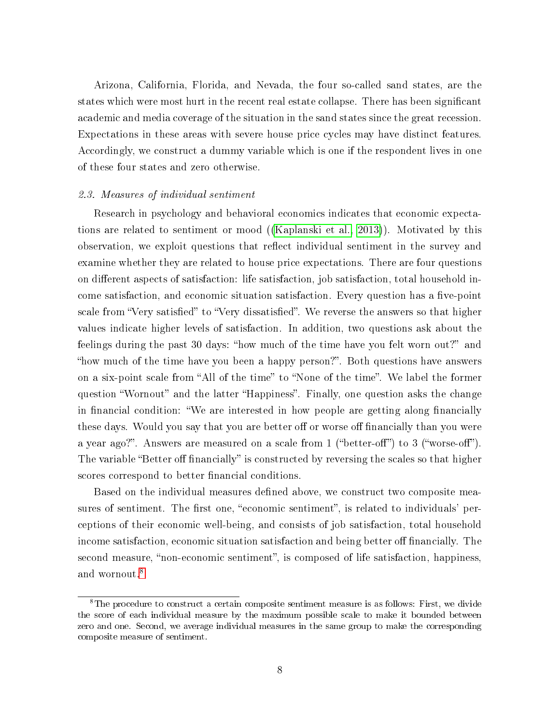Arizona, California, Florida, and Nevada, the four so-called sand states, are the states which were most hurt in the recent real estate collapse. There has been signicant academic and media coverage of the situation in the sand states since the great recession. Expectations in these areas with severe house price cycles may have distinct features. Accordingly, we construct a dummy variable which is one if the respondent lives in one of these four states and zero otherwise.

#### 2.3. Measures of individual sentiment

Research in psychology and behavioral economics indicates that economic expectations are related to sentiment or mood ([\(Kaplanski et al., 2013\)](#page-34-5)). Motivated by this observation, we exploit questions that reflect individual sentiment in the survey and examine whether they are related to house price expectations. There are four questions on different aspects of satisfaction: life satisfaction, job satisfaction, total household income satisfaction, and economic situation satisfaction. Every question has a five-point scale from "Very satisfied" to "Very dissatisfied". We reverse the answers so that higher values indicate higher levels of satisfaction. In addition, two questions ask about the feelings during the past 30 days: "how much of the time have you felt worn out?" and "how much of the time have you been a happy person?". Both questions have answers on a six-point scale from "All of the time" to "None of the time". We label the former question "Wornout" and the latter "Happiness". Finally, one question asks the change in financial condition: "We are interested in how people are getting along financially these days. Would you say that you are better off or worse off financially than you were a year ago?". Answers are measured on a scale from 1 ("better-off") to 3 ("worse-off"). The variable "Better off financially" is constructed by reversing the scales so that higher scores correspond to better financial conditions.

Based on the individual measures defined above, we construct two composite measures of sentiment. The first one, "economic sentiment", is related to individuals' perceptions of their economic well-being, and consists of job satisfaction, total household income satisfaction, economic situation satisfaction and being better off financially. The second measure, "non-economic sentiment", is composed of life satisfaction, happiness, and wornout.<sup>[8](#page--1-0)</sup>

<sup>8</sup>The procedure to construct a certain composite sentiment measure is as follows: First, we divide the score of each individual measure by the maximum possible scale to make it bounded between zero and one. Second, we average individual measures in the same group to make the corresponding composite measure of sentiment.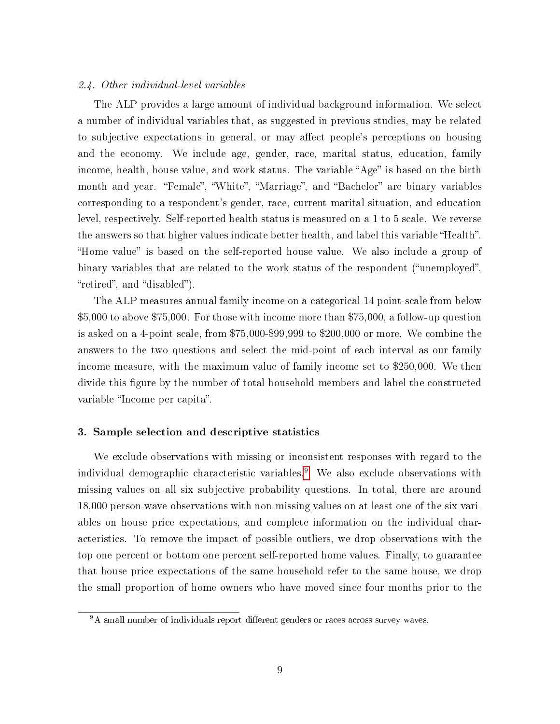#### 2.4. Other individual-level variables

The ALP provides a large amount of individual background information. We select a number of individual variables that, as suggested in previous studies, may be related to subjective expectations in general, or may affect people's perceptions on housing and the economy. We include age, gender, race, marital status, education, family income, health, house value, and work status. The variable "Age" is based on the birth month and year. "Female", "White", "Marriage", and "Bachelor" are binary variables corresponding to a respondent's gender, race, current marital situation, and education level, respectively. Self-reported health status is measured on a 1 to 5 scale. We reverse the answers so that higher values indicate better health, and label this variable "Health". "Home value" is based on the self-reported house value. We also include a group of binary variables that are related to the work status of the respondent ("unemployed", "retired", and "disabled").

The ALP measures annual family income on a categorical 14 point-scale from below \$5,000 to above \$75,000. For those with income more than \$75,000, a follow-up question is asked on a 4-point scale, from \$75,000-\$99,999 to \$200,000 or more. We combine the answers to the two questions and select the mid-point of each interval as our family income measure, with the maximum value of family income set to \$250,000. We then divide this figure by the number of total household members and label the constructed variable "Income per capita".

#### 3. Sample selection and descriptive statistics

We exclude observations with missing or inconsistent responses with regard to the individual demographic characteristic variables.[9](#page--1-0) We also exclude observations with missing values on all six subjective probability questions. In total, there are around 18,000 person-wave observations with non-missing values on at least one of the six variables on house price expectations, and complete information on the individual characteristics. To remove the impact of possible outliers, we drop observations with the top one percent or bottom one percent self-reported home values. Finally, to guarantee that house price expectations of the same household refer to the same house, we drop the small proportion of home owners who have moved since four months prior to the

<sup>&</sup>lt;sup>9</sup>A small number of individuals report different genders or races across survey waves.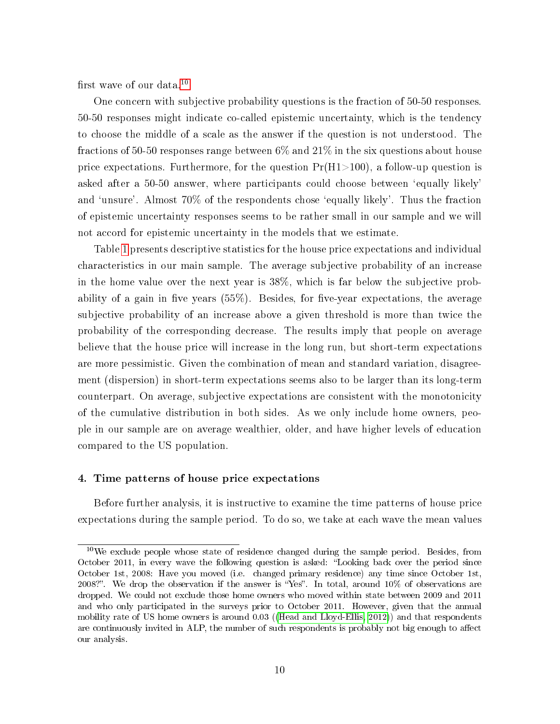first wave of our data. $10$ 

One concern with subjective probability questions is the fraction of 50-50 responses. 50-50 responses might indicate co-called epistemic uncertainty, which is the tendency to choose the middle of a scale as the answer if the question is not understood. The fractions of 50-50 responses range between 6% and 21% in the six questions about house price expectations. Furthermore, for the question  $Pr(H1>100)$ , a follow-up question is asked after a 50-50 answer, where participants could choose between `equally likely' and 'unsure'. Almost 70% of the respondents chose 'equally likely'. Thus the fraction of epistemic uncertainty responses seems to be rather small in our sample and we will not accord for epistemic uncertainty in the models that we estimate.

Table [1](#page-12-0) presents descriptive statistics for the house price expectations and individual characteristics in our main sample. The average subjective probability of an increase in the home value over the next year is 38%, which is far below the subjective probability of a gain in five years  $(55\%)$ . Besides, for five-year expectations, the average subjective probability of an increase above a given threshold is more than twice the probability of the corresponding decrease. The results imply that people on average believe that the house price will increase in the long run, but short-term expectations are more pessimistic. Given the combination of mean and standard variation, disagreement (dispersion) in short-term expectations seems also to be larger than its long-term counterpart. On average, subjective expectations are consistent with the monotonicity of the cumulative distribution in both sides. As we only include home owners, people in our sample are on average wealthier, older, and have higher levels of education compared to the US population.

#### 4. Time patterns of house price expectations

Before further analysis, it is instructive to examine the time patterns of house price expectations during the sample period. To do so, we take at each wave the mean values

 $10\,\text{We exclude people whose state of residence changed during the sample period. Besides, from}$ October 2011, in every wave the following question is asked: "Looking back over the period since October 1st, 2008: Have you moved (i.e. changed primary residence) any time since October 1st, 2008?". We drop the observation if the answer is "Yes". In total, around  $10\%$  of observations are dropped. We could not exclude those home owners who moved within state between 2009 and 2011 and who only participated in the surveys prior to October 2011. However, given that the annual mobility rate of US home owners is around 0.03 ([\(Head and Lloyd-Ellis, 2012\)](#page-34-6)) and that respondents are continuously invited in ALP, the number of such respondents is probably not big enough to affect our analysis.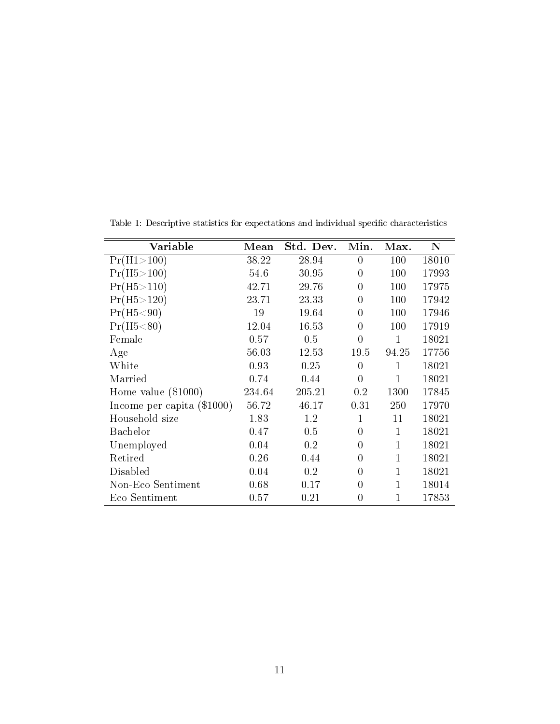| Variable                     | Mean   | Std. Dev. | Min.           | Max.         | N     |
|------------------------------|--------|-----------|----------------|--------------|-------|
| Pr(H1>100)                   | 38.22  | 28.94     | $\theta$       | 100          | 18010 |
| Pr(H5 > 100)                 | 54.6   | 30.95     | $\theta$       | 100          | 17993 |
| Pr(H5 > 110)                 | 42.71  | 29.76     | $\theta$       | 100          | 17975 |
| Pr(H5 > 120)                 | 23.71  | 23.33     | 0              | 100          | 17942 |
| Pr(H5 < 90)                  | 19     | 19.64     | $\Omega$       | 100          | 17946 |
| Pr(H5 < 80)                  | 12.04  | 16.53     | 0              | 100          | 17919 |
| Female                       | 0.57   | 0.5       | $\theta$       | 1            | 18021 |
| Age                          | 56.03  | 12.53     | 19.5           | 94.25        | 17756 |
| White                        | 0.93   | 0.25      | $\theta$       | 1            | 18021 |
| Married                      | 0.74   | 0.44      | $\theta$       | $\mathbf{1}$ | 18021 |
| Home value $(\$1000)$        | 234.64 | 205.21    | 0.2            | 1300         | 17845 |
| Income per capita $(\$1000)$ | 56.72  | 46.17     | 0.31           | 250          | 17970 |
| Household size               | 1.83   | 1.2       | 1              | 11           | 18021 |
| Bachelor                     | 0.47   | 0.5       | $\theta$       | 1            | 18021 |
| Unemployed                   | 0.04   | 0.2       | 0              | 1            | 18021 |
| Retired                      | 0.26   | 0.44      | 0              |              | 18021 |
| Disabled                     | 0.04   | 0.2       | 0              |              | 18021 |
| Non-Eco Sentiment            | 0.68   | 0.17      | $\theta$       |              | 18014 |
| Eco Sentiment                | 0.57   | 0.21      | $\overline{0}$ |              | 17853 |

<span id="page-12-0"></span>Table 1: Descriptive statistics for expectations and individual specific characteristics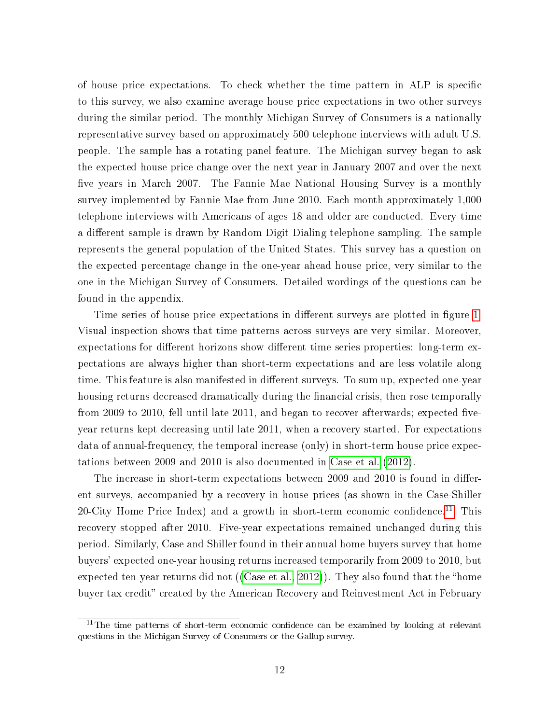of house price expectations. To check whether the time pattern in ALP is specific to this survey, we also examine average house price expectations in two other surveys during the similar period. The monthly Michigan Survey of Consumers is a nationally representative survey based on approximately 500 telephone interviews with adult U.S. people. The sample has a rotating panel feature. The Michigan survey began to ask the expected house price change over the next year in January 2007 and over the next five years in March 2007. The Fannie Mae National Housing Survey is a monthly survey implemented by Fannie Mae from June 2010. Each month approximately 1,000 telephone interviews with Americans of ages 18 and older are conducted. Every time a different sample is drawn by Random Digit Dialing telephone sampling. The sample represents the general population of the United States. This survey has a question on the expected percentage change in the one-year ahead house price, very similar to the one in the Michigan Survey of Consumers. Detailed wordings of the questions can be found in the appendix.

Time series of house price expectations in different surveys are plotted in figure [1.](#page-14-0) Visual inspection shows that time patterns across surveys are very similar. Moreover, expectations for different horizons show different time series properties: long-term expectations are always higher than short-term expectations and are less volatile along time. This feature is also manifested in different surveys. To sum up, expected one-year housing returns decreased dramatically during the financial crisis, then rose temporally from 2009 to 2010, fell until late  $2011$ , and began to recover afterwards; expected fiveyear returns kept decreasing until late 2011, when a recovery started. For expectations data of annual-frequency, the temporal increase (only) in short-term house price expectations between 2009 and 2010 is also documented in [Case et al.](#page-32-2) [\(2012\)](#page-32-2).

The increase in short-term expectations between 2009 and 2010 is found in different surveys, accompanied by a recovery in house prices (as shown in the Case-Shiller 20-City Home Price Index) and a growth in short-term economic confidence.<sup>[11](#page--1-0)</sup> This recovery stopped after 2010. Five-year expectations remained unchanged during this period. Similarly, Case and Shiller found in their annual home buyers survey that home buyers' expected one-year housing returns increased temporarily from 2009 to 2010, but expected ten-year returns did not ([\(Case et al., 2012\)](#page-32-2)). They also found that the "home buyer tax credit" created by the American Recovery and Reinvestment Act in February

 $11$ The time patterns of short-term economic confidence can be examined by looking at relevant questions in the Michigan Survey of Consumers or the Gallup survey.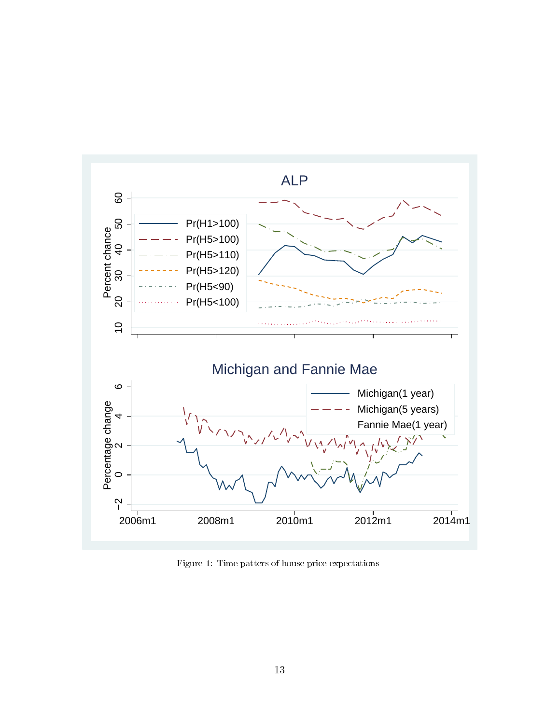<span id="page-14-0"></span>

Figure 1: Time patters of house price expectations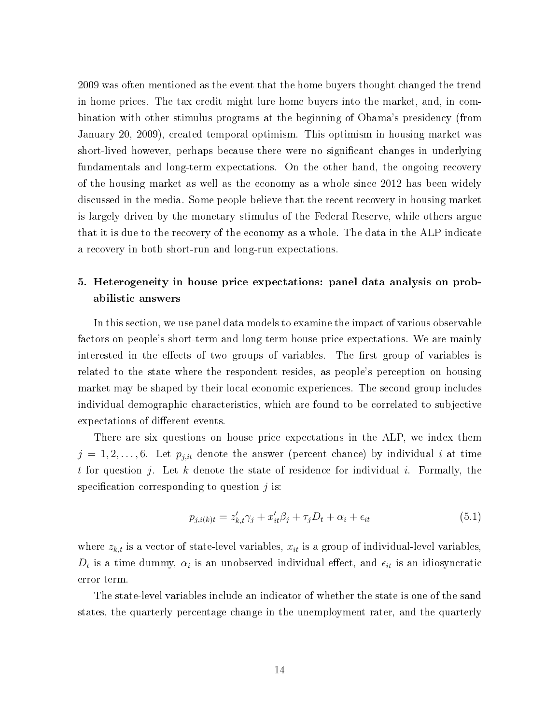2009 was often mentioned as the event that the home buyers thought changed the trend in home prices. The tax credit might lure home buyers into the market, and, in combination with other stimulus programs at the beginning of Obama's presidency (from January 20, 2009), created temporal optimism. This optimism in housing market was short-lived however, perhaps because there were no significant changes in underlying fundamentals and long-term expectations. On the other hand, the ongoing recovery of the housing market as well as the economy as a whole since 2012 has been widely discussed in the media. Some people believe that the recent recovery in housing market is largely driven by the monetary stimulus of the Federal Reserve, while others argue that it is due to the recovery of the economy as a whole. The data in the ALP indicate a recovery in both short-run and long-run expectations.

### 5. Heterogeneity in house price expectations: panel data analysis on probabilistic answers

In this section, we use panel data models to examine the impact of various observable factors on people's short-term and long-term house price expectations. We are mainly interested in the effects of two groups of variables. The first group of variables is related to the state where the respondent resides, as people's perception on housing market may be shaped by their local economic experiences. The second group includes individual demographic characteristics, which are found to be correlated to subjective expectations of different events.

There are six questions on house price expectations in the ALP, we index them  $j = 1, 2, \ldots, 6$ . Let  $p_{j,it}$  denote the answer (percent chance) by individual i at time t for question  $j$ . Let  $k$  denote the state of residence for individual  $i$ . Formally, the specification corresponding to question  $j$  is:

<span id="page-15-0"></span>
$$
p_{j,i(k)t} = z'_{k,t}\gamma_j + x'_{it}\beta_j + \tau_j D_t + \alpha_i + \epsilon_{it}
$$
\n(5.1)

where  $z_{k,t}$  is a vector of state-level variables,  $x_{it}$  is a group of individual-level variables,  $D_t$  is a time dummy,  $\alpha_i$  is an unobserved individual effect, and  $\epsilon_{it}$  is an idiosyncratic error term.

The state-level variables include an indicator of whether the state is one of the sand states, the quarterly percentage change in the unemployment rater, and the quarterly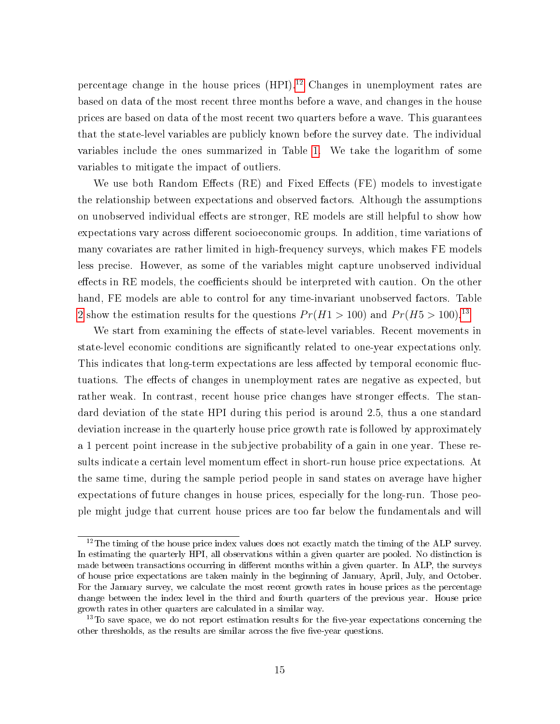percentage change in the house prices  $(HPI).<sup>12</sup>$  $(HPI).<sup>12</sup>$  $(HPI).<sup>12</sup>$  Changes in unemployment rates are based on data of the most recent three months before a wave, and changes in the house prices are based on data of the most recent two quarters before a wave. This guarantees that the state-level variables are publicly known before the survey date. The individual variables include the ones summarized in Table [1.](#page-12-0) We take the logarithm of some variables to mitigate the impact of outliers.

We use both Random Effects  $(RE)$  and Fixed Effects  $(FE)$  models to investigate the relationship between expectations and observed factors. Although the assumptions on unobserved individual effects are stronger, RE models are still helpful to show how expectations vary across different socioeconomic groups. In addition, time variations of many covariates are rather limited in high-frequency surveys, which makes FE models less precise. However, as some of the variables might capture unobserved individual effects in RE models, the coefficients should be interpreted with caution. On the other hand, FE models are able to control for any time-invariant unobserved factors. Table [2](#page-18-0) show the estimation results for the questions  $Pr(H1 > 100)$  and  $Pr(H5 > 100)^{13}$  $Pr(H5 > 100)^{13}$  $Pr(H5 > 100)^{13}$ 

We start from examining the effects of state-level variables. Recent movements in state-level economic conditions are signicantly related to one-year expectations only. This indicates that long-term expectations are less affected by temporal economic fluctuations. The effects of changes in unemployment rates are negative as expected, but rather weak. In contrast, recent house price changes have stronger effects. The standard deviation of the state HPI during this period is around 2.5, thus a one standard deviation increase in the quarterly house price growth rate is followed by approximately a 1 percent point increase in the subjective probability of a gain in one year. These results indicate a certain level momentum effect in short-run house price expectations. At the same time, during the sample period people in sand states on average have higher expectations of future changes in house prices, especially for the long-run. Those people might judge that current house prices are too far below the fundamentals and will

 $12$ The timing of the house price index values does not exactly match the timing of the ALP survey. In estimating the quarterly HPI, all observations within a given quarter are pooled. No distinction is made between transactions occurring in different months within a given quarter. In ALP, the surveys of house price expectations are taken mainly in the beginning of January, April, July, and October. For the January survey, we calculate the most recent growth rates in house prices as the percentage change between the index level in the third and fourth quarters of the previous year. House price growth rates in other quarters are calculated in a similar way.

 $13$ To save space, we do not report estimation results for the five-year expectations concerning the other thresholds, as the results are similar across the five-year questions.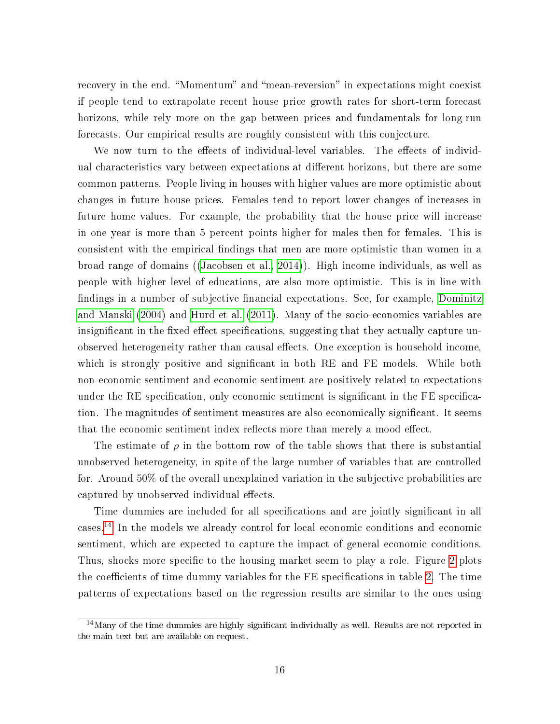recovery in the end. "Momentum" and "mean-reversion" in expectations might coexist if people tend to extrapolate recent house price growth rates for short-term forecast horizons, while rely more on the gap between prices and fundamentals for long-run forecasts. Our empirical results are roughly consistent with this conjecture.

We now turn to the effects of individual-level variables. The effects of individual characteristics vary between expectations at different horizons, but there are some common patterns. People living in houses with higher values are more optimistic about changes in future house prices. Females tend to report lower changes of increases in future home values. For example, the probability that the house price will increase in one year is more than 5 percent points higher for males then for females. This is consistent with the empirical findings that men are more optimistic than women in a broad range of domains ([\(Jacobsen et al., 2014\)](#page-34-7)). High income individuals, as well as people with higher level of educations, are also more optimistic. This is in line with findings in a number of subjective financial expectations. See, for example, [Dominitz](#page-33-8) [and Manski](#page-33-8) [\(2004\)](#page-33-8) and [Hurd et al.](#page-34-8) [\(2011\)](#page-34-8). Many of the socio-economics variables are insignificant in the fixed effect specifications, suggesting that they actually capture unobserved heterogeneity rather than causal effects. One exception is household income, which is strongly positive and significant in both RE and FE models. While both non-economic sentiment and economic sentiment are positively related to expectations under the RE specification, only economic sentiment is significant in the FE specification. The magnitudes of sentiment measures are also economically signicant. It seems that the economic sentiment index reflects more than merely a mood effect.

The estimate of  $\rho$  in the bottom row of the table shows that there is substantial unobserved heterogeneity, in spite of the large number of variables that are controlled for. Around 50% of the overall unexplained variation in the subjective probabilities are captured by unobserved individual effects.

Time dummies are included for all specifications and are jointly significant in all cases.[14](#page--1-0) In the models we already control for local economic conditions and economic sentiment, which are expected to capture the impact of general economic conditions. Thus, shocks more specific to the housing market seem to play a role. Figure [2](#page-19-0) plots the coefficients of time dummy variables for the FE specifications in table [2.](#page-18-0) The time patterns of expectations based on the regression results are similar to the ones using

 $14$ Many of the time dummies are highly significant individually as well. Results are not reported in the main text but are available on request.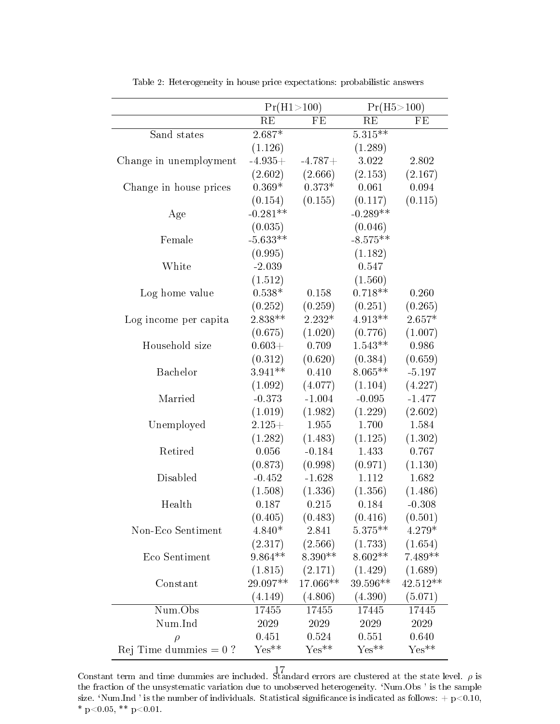<span id="page-18-0"></span>

|                          | Pr(H1>100) |           | Pr(H5 > 100)          |           |
|--------------------------|------------|-----------|-----------------------|-----------|
|                          | RE         | FE        | RE                    | FE        |
| Sand states              | $2.687*$   |           | $5.\overline{315***}$ |           |
|                          | (1.126)    |           | (1.289)               |           |
| Change in unemployment   | $-4.935+$  | $-4.787+$ | 3.022                 | 2.802     |
|                          | (2.602)    | (2.666)   | (2.153)               | (2.167)   |
| Change in house prices   | $0.369*$   | $0.373*$  | 0.061                 | 0.094     |
|                          | (0.154)    | (0.155)   | (0.117)               | (0.115)   |
| Age                      | $-0.281**$ |           | $-0.289**$            |           |
|                          | (0.035)    |           | (0.046)               |           |
| Female                   | $-5.633**$ |           | $-8.575**$            |           |
|                          | (0.995)    |           | (1.182)               |           |
| White                    | $-2.039$   |           | 0.547                 |           |
|                          | (1.512)    |           | (1.560)               |           |
| Log home value           | $0.538*$   | 0.158     | $0.718**$             | 0.260     |
|                          | (0.252)    | (0.259)   | (0.251)               | (0.265)   |
| Log income per capita    | 2.838 **   | $2.232*$  | $4.913**$             | $2.657*$  |
|                          | (0.675)    | (1.020)   | (0.776)               | (1.007)   |
| Household size           | $0.603+$   | 0.709     | $1.543**$             | 0.986     |
|                          | (0.312)    | (0.620)   | (0.384)               | (0.659)   |
| Bachelor                 | $3.941**$  | 0.410     | $8.065**$             | $-5.197$  |
|                          | (1.092)    | (4.077)   | (1.104)               | (4.227)   |
| Married                  | $-0.373$   | $-1.004$  | $-0.095$              | $-1.477$  |
|                          | (1.019)    | (1.982)   | (1.229)               | (2.602)   |
| Unemployed               | $2.125+$   | 1.955     | 1.700                 | 1.584     |
|                          | (1.282)    | (1.483)   | (1.125)               | (1.302)   |
| Retired                  | 0.056      | $-0.184$  | 1.433                 | 0.767     |
|                          | (0.873)    | (0.998)   | (0.971)               | (1.130)   |
| Disabled                 | $-0.452$   | $-1.628$  | 1.112                 | 1.682     |
|                          | (1.508)    | (1.336)   | (1.356)               | (1.486)   |
| Health                   | 0.187      | 0.215     | 0.184                 | $-0.308$  |
|                          | (0.405)    | (0.483)   | (0.416)               | (0.501)   |
| Non-Eco Sentiment        | $4.840*$   | 2.841     | $5.375**$             | 4.279*    |
|                          | (2.317)    | (2.566)   | (1.733)               | (1.654)   |
| Eco Sentiment            | $9.864**$  | 8.390**   | $8.602**$             | $7.489**$ |
|                          | (1.815)    | (2.171)   | (1.429)               | (1.689)   |
| Constant                 | 29.097**   | 17.066**  | 39.596**              | 42.512**  |
|                          | (4.149)    | (4.806)   | (4.390)               | (5.071)   |
| Num.Obs                  | 17455      | 17455     | 17445                 | 17445     |
| Num.Ind                  | 2029       | 2029      | 2029                  | 2029      |
| $\rho$                   | 0.451      | 0.524     | 0.551                 | 0.640     |
| Rej Time dummies $= 0$ ? | $Yes**$    | $Yes**$   | $Yes**$               | $Yes**$   |

Table 2: Heterogeneity in house price expectations: probabilistic answers

Constant term and time dummies are included. Standard errors are clustered at the state level.  $\rho$  is the fraction of the unsystematic variation due to unobserved heterogeneity. `Num.Obs ' is the sample size. 'Num.Ind ' is the number of individuals. Statistical significance is indicated as follows:  $+ p<0.10$ , \* p<0.05, \*\* p<0.01.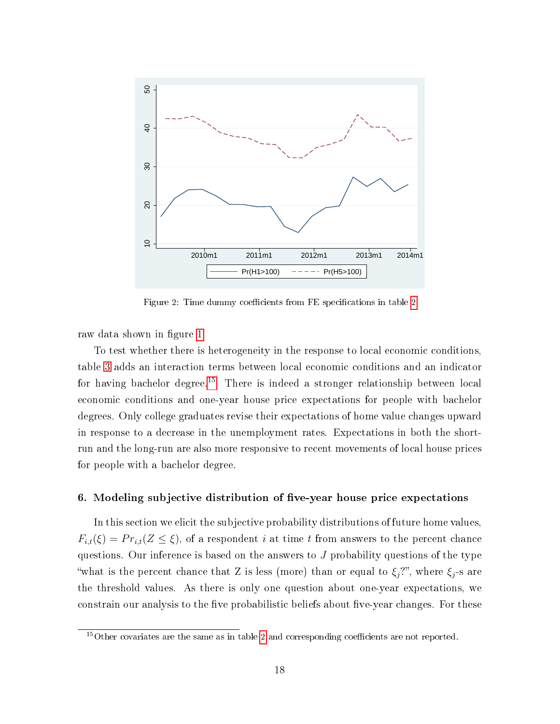<span id="page-19-0"></span>

Figure [2](#page-18-0): Time dummy coefficients from FE specifications in table 2

raw data shown in figure [1.](#page-14-0)

To test whether there is heterogeneity in the response to local economic conditions, table [3](#page-20-0) adds an interaction terms between local economic conditions and an indicator for having bachelor degree.<sup>[15](#page--1-0)</sup> There is indeed a stronger relationship between local economic conditions and one-year house price expectations for people with bachelor degrees. Only college graduates revise their expectations of home value changes upward in response to a decrease in the unemployment rates. Expectations in both the shortrun and the long-run are also more responsive to recent movements of local house prices for people with a bachelor degree.

#### <span id="page-19-1"></span>6. Modeling subjective distribution of five-year house price expectations

In this section we elicit the subjective probability distributions of future home values,  $F_{i,t}(\xi) = Pr_{i,t}(Z \leq \xi)$ , of a respondent i at time t from answers to the percent chance questions. Our inference is based on the answers to  $J$  probability questions of the type "what is the percent chance that Z is less (more) than or equal to  $\xi_j$ ?", where  $\xi_j$ -s are the threshold values. As there is only one question about one-year expectations, we constrain our analysis to the five probabilistic beliefs about five-year changes. For these

 $15$ Other covariates are the same as in table [2](#page-18-0) and corresponding coefficients are not reported.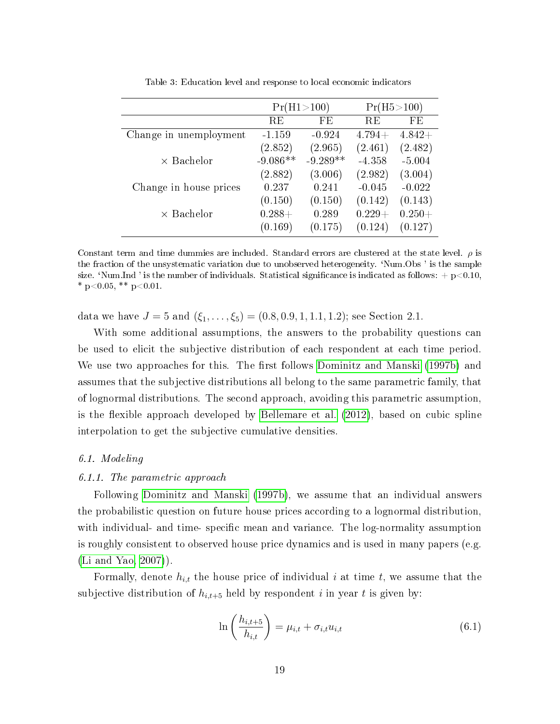<span id="page-20-0"></span>

|                        | Pr(H1 > 100) |            | Pr(H5 > 100) |          |
|------------------------|--------------|------------|--------------|----------|
|                        | <b>RE</b>    | FE         | RE           | FE       |
| Change in unemployment | $-1.159$     | $-0.924$   | $4.794+$     | $4.842+$ |
|                        | (2.852)      | (2.965)    | (2.461)      | (2.482)  |
| $\times$ Bachelor      | $-9.086**$   | $-9.289**$ | $-4.358$     | $-5.004$ |
|                        | (2.882)      | (3.006)    | (2.982)      | (3.004)  |
| Change in house prices | 0.237        | 0.241      | $-0.045$     | $-0.022$ |
|                        | (0.150)      | (0.150)    | (0.142)      | (0.143)  |
| $\times$ Bachelor      | $0.288 +$    | 0.289      | $0.229 +$    | $0.250+$ |
|                        | (0.169)      | (0.175)    | (0.124)      | (0.127)  |

Table 3: Education level and response to local economic indicators

Constant term and time dummies are included. Standard errors are clustered at the state level.  $\rho$  is the fraction of the unsystematic variation due to unobserved heterogeneity. `Num.Obs ' is the sample size. 'Num.Ind' is the number of individuals. Statistical significance is indicated as follows:  $+ p<0.10$ , \*  $p<0.05$ , \*\*  $p<0.01$ .

data we have  $J = 5$  and  $(\xi_1, \ldots, \xi_5) = (0.8, 0.9, 1, 1.1, 1.2)$ ; see Section 2.1.

With some additional assumptions, the answers to the probability questions can be used to elicit the subjective distribution of each respondent at each time period. We use two approaches for this. The first follows [Dominitz and Manski](#page-33-0) [\(1997b\)](#page-33-0) and assumes that the subjective distributions all belong to the same parametric family, that of lognormal distributions. The second approach, avoiding this parametric assumption, is the flexible approach developed by [Bellemare et al.](#page-32-3)  $(2012)$ , based on cubic spline interpolation to get the subjective cumulative densities.

#### 6.1. Modeling

#### 6.1.1. The parametric approach

Following [Dominitz and Manski](#page-33-0) [\(1997b\)](#page-33-0), we assume that an individual answers the probabilistic question on future house prices according to a lognormal distribution, with individual- and time- specific mean and variance. The log-normality assumption is roughly consistent to observed house price dynamics and is used in many papers (e.g. [\(Li and Yao, 2007\)](#page-34-9)).

Formally, denote  $h_{i,t}$  the house price of individual i at time t, we assume that the subjective distribution of  $h_{i,t+5}$  held by respondent i in year t is given by:

$$
\ln\left(\frac{h_{i,t+5}}{h_{i,t}}\right) = \mu_{i,t} + \sigma_{i,t} u_{i,t}
$$
\n(6.1)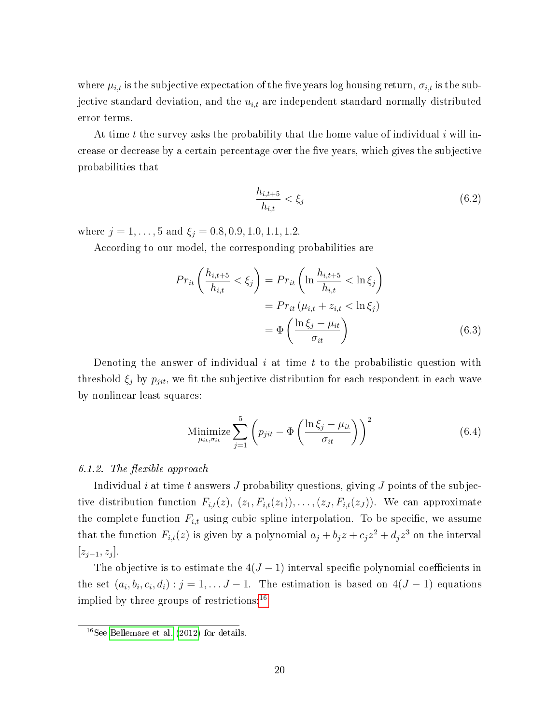where  $\mu_{i,t}$  is the subjective expectation of the five years log housing return,  $\sigma_{i,t}$  is the subjective standard deviation, and the  $u_{i,t}$  are independent standard normally distributed error terms.

At time t the survey asks the probability that the home value of individual i will increase or decrease by a certain percentage over the five years, which gives the subjective probabilities that

$$
\frac{h_{i,t+5}}{h_{i,t}} < \xi_j \tag{6.2}
$$

where  $j = 1, ..., 5$  and  $\xi_j = 0.8, 0.9, 1.0, 1.1, 1.2$ .

According to our model, the corresponding probabilities are

$$
Pr_{it}\left(\frac{h_{i,t+5}}{h_{i,t}} < \xi_j\right) = Pr_{it}\left(\ln\frac{h_{i,t+5}}{h_{i,t}} < \ln \xi_j\right)
$$
\n
$$
= Pr_{it}\left(\mu_{i,t} + z_{i,t} < \ln \xi_j\right)
$$
\n
$$
= \Phi\left(\frac{\ln \xi_j - \mu_{it}}{\sigma_{it}}\right) \tag{6.3}
$$

Denoting the answer of individual i at time t to the probabilistic question with threshold  $\xi_i$  by  $p_{\textit{jit}}$ , we fit the subjective distribution for each respondent in each wave by nonlinear least squares:

Minimize 
$$
\sum_{\mu_{it}, \sigma_{it}}^{5} \left( p_{jit} - \Phi \left( \frac{\ln \xi_j - \mu_{it}}{\sigma_{it}} \right) \right)^2
$$
 (6.4)

#### 6.1.2. The flexible approach

Individual i at time t answers J probability questions, giving J points of the subjective distribution function  $F_{i,t}(z)$ ,  $(z_1, F_{i,t}(z_1)), \ldots, (z_J, F_{i,t}(z_J))$ . We can approximate the complete function  $F_{i,t}$  using cubic spline interpolation. To be specific, we assume that the function  $F_{i,t}(z)$  is given by a polynomial  $a_j + b_j z + c_j z^2 + d_j z^3$  on the interval  $[z_{j-1}, z_j].$ 

The objective is to estimate the  $4(J-1)$  interval specific polynomial coefficients in the set  $(a_i, b_i, c_i, d_i)$ :  $j = 1, \ldots J-1$ . The estimation is based on  $4(J-1)$  equations implied by three groups of restrictions:  $16$ 

 $16$ See [Bellemare et al.](#page-32-3) [\(2012\)](#page-32-3) for details.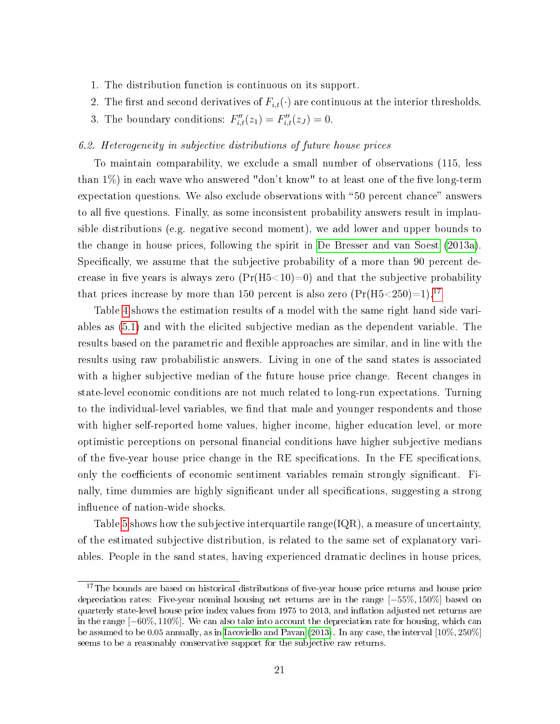- 1. The distribution function is continuous on its support.
- 2. The first and second derivatives of  $F_{i,t}(\cdot)$  are continuous at the interior thresholds.
- 3. The boundary conditions:  $F''_{i,t}(z_1) = F''_{i,t}(z_1) = 0.$

#### 6.2. Heterogeneity in subjective distributions of future house prices

To maintain comparability, we exclude a small number of observations (115, less than  $1\%$  in each wave who answered "don't know" to at least one of the five long-term expectation questions. We also exclude observations with "50 percent chance" answers to all five questions. Finally, as some inconsistent probability answers result in implausible distributions (e.g. negative second moment), we add lower and upper bounds to the change in house prices, following the spirit in [De Bresser and van Soest](#page-33-9) [\(2013a\)](#page-33-9). Specifically, we assume that the subjective probability of a more than 90 percent decrease in five years is always zero  $(Pr(H5<10)=0)$  and that the subjective probability that prices increase by more than 150 percent is also zero  $(\Pr(H5<250)=1)^{17}$  $(\Pr(H5<250)=1)^{17}$  $(\Pr(H5<250)=1)^{17}$ .

Table [4](#page-23-0) shows the estimation results of a model with the same right hand side variables as [\(5.1\)](#page-15-0) and with the elicited subjective median as the dependent variable. The results based on the parametric and flexible approaches are similar, and in line with the results using raw probabilistic answers. Living in one of the sand states is associated with a higher subjective median of the future house price change. Recent changes in state-level economic conditions are not much related to long-run expectations. Turning to the individual-level variables, we find that male and younger respondents and those with higher self-reported home values, higher income, higher education level, or more optimistic perceptions on personal financial conditions have higher subjective medians of the five-year house price change in the RE specifications. In the FE specifications, only the coefficients of economic sentiment variables remain strongly significant. Finally, time dummies are highly significant under all specifications, suggesting a strong influence of nation-wide shocks.

Table [5](#page-25-0) shows how the subjective interquartile range(IQR), a measure of uncertainty, of the estimated subjective distribution, is related to the same set of explanatory variables. People in the sand states, having experienced dramatic declines in house prices,

 $17$ The bounds are based on historical distributions of five-year house price returns and house price depreciation rates: Five-year nominal housing net returns are in the range [−55%, 150%] based on quarterly state-level house price index values from 1975 to 2013, and inflation adjusted net returns are in the range [−60%, 110%]. We can also take into account the depreciation rate for housing, which can be assumed to be 0.05 annually, as in [Iacoviello and Pavan](#page-34-10) [\(2013\)](#page-34-10). In any case, the interval [10%, 250%] seems to be a reasonably conservative support for the subjective raw returns.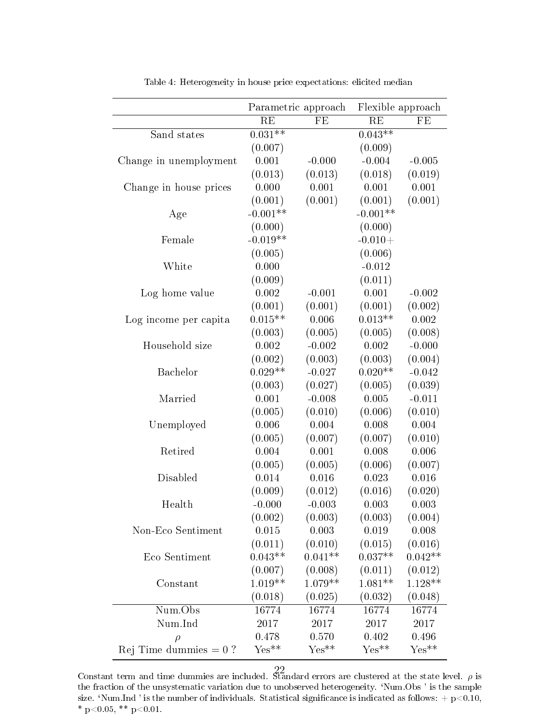<span id="page-23-0"></span>

|                          | Parametric approach<br>Flexible approach |           |            |                     |
|--------------------------|------------------------------------------|-----------|------------|---------------------|
|                          | RE                                       | FE        | RE         | FE                  |
| Sand states              | $0.031**$                                |           | $0.043**$  |                     |
|                          | (0.007)                                  |           | (0.009)    |                     |
| Change in unemployment   | 0.001                                    | $-0.000$  | $-0.004$   | $-0.005$            |
|                          | (0.013)                                  | (0.013)   | (0.018)    | (0.019)             |
| Change in house prices   | 0.000                                    | 0.001     | 0.001      | 0.001               |
|                          | (0.001)                                  | (0.001)   | (0.001)    | (0.001)             |
| Age                      | $-0.001**$                               |           | $-0.001**$ |                     |
|                          | (0.000)                                  |           | (0.000)    |                     |
| Female                   | $-0.019**$                               |           | $-0.010+$  |                     |
|                          | (0.005)                                  |           | (0.006)    |                     |
| White                    | 0.000                                    |           | $-0.012$   |                     |
|                          | (0.009)                                  |           | (0.011)    |                     |
| Log home value           | 0.002                                    | $-0.001$  | 0.001      | $-0.002$            |
|                          | (0.001)                                  | (0.001)   | (0.001)    | (0.002)             |
| Log income per capita    | $0.015**$                                | 0.006     | $0.013**$  | 0.002               |
|                          | (0.003)                                  | (0.005)   | (0.005)    | (0.008)             |
| Household size           | 0.002                                    | $-0.002$  | 0.002      | $-0.000$            |
|                          | (0.002)                                  | (0.003)   | (0.003)    | (0.004)             |
| Bachelor                 | $0.029**$                                | $-0.027$  | $0.020**$  | $-0.042$            |
|                          | (0.003)                                  | (0.027)   | (0.005)    | (0.039)             |
| Married                  | 0.001                                    | $-0.008$  | 0.005      | $-0.011$            |
|                          | (0.005)                                  | (0.010)   | (0.006)    | (0.010)             |
| Unemployed               | 0.006                                    | 0.004     | 0.008      | 0.004               |
|                          | (0.005)                                  | (0.007)   | (0.007)    | (0.010)             |
| Retired                  | 0.004                                    | 0.001     | 0.008      | 0.006               |
|                          | (0.005)                                  | (0.005)   | (0.006)    | (0.007)             |
| Disabled                 | 0.014                                    | 0.016     | 0.023      | 0.016               |
|                          | (0.009)                                  | (0.012)   | (0.016)    | (0.020)             |
| Health                   | $-0.000$                                 | $-0.003$  | 0.003      | 0.003               |
|                          | (0.002)                                  | (0.003)   | (0.003)    | (0.004)             |
| Non-Eco Sentiment        | 0.015                                    | 0.003     | 0.019      | 0.008               |
|                          | (0.011)                                  | (0.010)   | (0.015)    | (0.016)             |
| Eco Sentiment            | $0.043**$                                | $0.041**$ | $0.037**$  | $0.042**$           |
|                          | (0.007)                                  | (0.008)   | (0.011)    | (0.012)             |
| Constant                 | $1.019**$                                | $1.079**$ | $1.081**$  | $1.128**$           |
|                          | (0.018)                                  | (0.025)   | (0.032)    | (0.048)             |
| Num.Obs                  | 16774                                    | 16774     | 16774      | 16774               |
| Num.Ind                  | 2017                                     | 2017      | 2017       | 2017                |
| $\rho$                   | 0.478                                    | 0.570     | 0.402      | 0.496               |
| Rej Time dummies $= 0$ ? | $Yes**$                                  | $Yes**$   | $Yes**$    | $\mathrm{Yes}^{**}$ |

Table 4: Heterogeneity in house price expectations: elicited median

Constant term and time dummies are included. Standard errors are clustered at the state level.  $\rho$  is the fraction of the unsystematic variation due to unobserved heterogeneity. `Num.Obs ' is the sample size. 'Num.Ind ' is the number of individuals. Statistical significance is indicated as follows:  $+ p<0.10$ , \* p<0.05, \*\* p<0.01.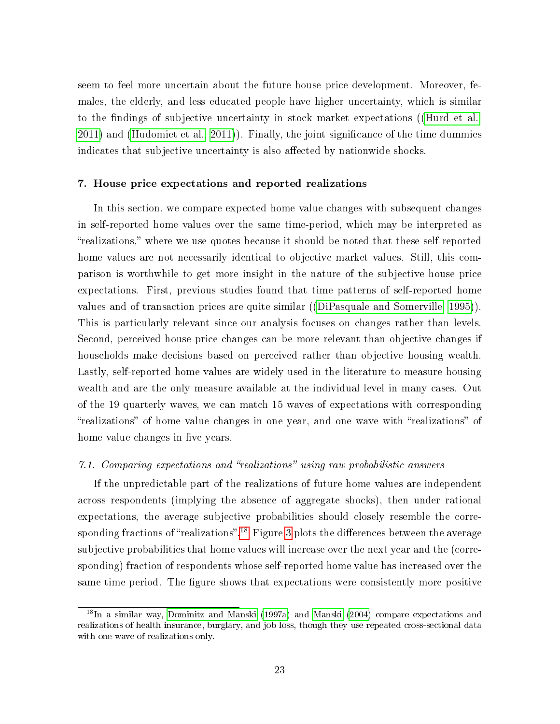seem to feel more uncertain about the future house price development. Moreover, females, the elderly, and less educated people have higher uncertainty, which is similar to the findings of subjective uncertainty in stock market expectations ([\(Hurd et al.,](#page-34-8) [2011\)](#page-34-8) and [\(Hudomiet et al., 2011\)](#page-34-11)). Finally, the joint signicance of the time dummies indicates that subjective uncertainty is also affected by nationwide shocks.

#### 7. House price expectations and reported realizations

In this section, we compare expected home value changes with subsequent changes in self-reported home values over the same time-period, which may be interpreted as realizations, where we use quotes because it should be noted that these self-reported home values are not necessarily identical to objective market values. Still, this comparison is worthwhile to get more insight in the nature of the subjective house price expectations. First, previous studies found that time patterns of self-reported home values and of transaction prices are quite similar ([\(DiPasquale and Somerville, 1995\)](#page-33-10)). This is particularly relevant since our analysis focuses on changes rather than levels. Second, perceived house price changes can be more relevant than objective changes if households make decisions based on perceived rather than objective housing wealth. Lastly, self-reported home values are widely used in the literature to measure housing wealth and are the only measure available at the individual level in many cases. Out of the 19 quarterly waves, we can match 15 waves of expectations with corresponding "realizations" of home value changes in one year, and one wave with "realizations" of home value changes in five years.

#### 7.1. Comparing expectations and "realizations" using raw probabilistic answers

If the unpredictable part of the realizations of future home values are independent across respondents (implying the absence of aggregate shocks), then under rational expectations, the average subjective probabilities should closely resemble the corre-sponding fractions of "realizations".<sup>[18](#page--1-0)</sup> Figure [3](#page-27-0) plots the differences between the average subjective probabilities that home values will increase over the next year and the (corresponding) fraction of respondents whose self-reported home value has increased over the same time period. The figure shows that expectations were consistently more positive

<sup>&</sup>lt;sup>18</sup>In a similar way, [Dominitz and Manski](#page-33-11) [\(1997a\)](#page-33-11) and [Manski](#page-35-1) [\(2004\)](#page-35-1) compare expectations and realizations of health insurance, burglary, and job loss, though they use repeated cross-sectional data with one wave of realizations only.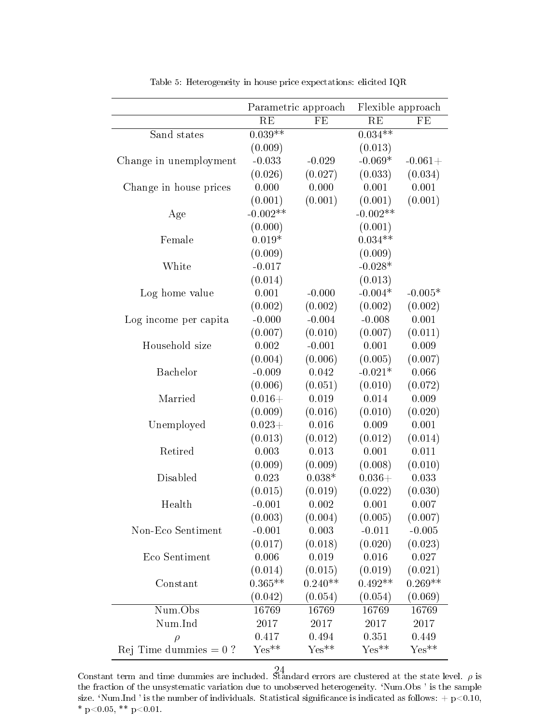<span id="page-25-0"></span>

|                          |            | Parametric approach | Flexible approach |                     |  |
|--------------------------|------------|---------------------|-------------------|---------------------|--|
|                          | RE         | FE                  | $\rm RE$          | FE                  |  |
| Sand states              | $0.039**$  |                     | $0.034***$        |                     |  |
|                          | (0.009)    |                     | (0.013)           |                     |  |
| Change in unemployment   | $-0.033$   | $-0.029$            | $-0.069*$         | $-0.061+$           |  |
|                          | (0.026)    | (0.027)             | (0.033)           | (0.034)             |  |
| Change in house prices   | 0.000      | 0.000               | 0.001             | 0.001               |  |
|                          | (0.001)    | (0.001)             | (0.001)           | (0.001)             |  |
| Age                      | $-0.002**$ |                     | $-0.002**$        |                     |  |
|                          | (0.000)    |                     | (0.001)           |                     |  |
| Female                   | $0.019*$   |                     | $0.034**$         |                     |  |
|                          | (0.009)    |                     | (0.009)           |                     |  |
| White                    | $-0.017$   |                     | $-0.028*$         |                     |  |
|                          | (0.014)    |                     | (0.013)           |                     |  |
| Log home value           | 0.001      | $-0.000$            | $-0.004*$         | $-0.005*$           |  |
|                          | (0.002)    | (0.002)             | (0.002)           | (0.002)             |  |
| Log income per capita    | $-0.000$   | $-0.004$            | $-0.008$          | 0.001               |  |
|                          | (0.007)    | (0.010)             | (0.007)           | (0.011)             |  |
| Household size           | 0.002      | $-0.001$            | 0.001             | 0.009               |  |
|                          | (0.004)    | (0.006)             | (0.005)           | (0.007)             |  |
| Bachelor                 | $-0.009$   | 0.042               | $-0.021*$         | 0.066               |  |
|                          | (0.006)    | (0.051)             | (0.010)           | (0.072)             |  |
| Married                  | $0.016 +$  | 0.019               | 0.014             | 0.009               |  |
|                          | (0.009)    | (0.016)             | (0.010)           | (0.020)             |  |
| Unemployed               | $0.023+$   | 0.016               | 0.009             | 0.001               |  |
|                          | (0.013)    | (0.012)             | (0.012)           | (0.014)             |  |
| Retired                  | 0.003      | 0.013               | 0.001             | 0.011               |  |
|                          | (0.009)    | (0.009)             | (0.008)           | (0.010)             |  |
| Disabled                 | 0.023      | $0.038*$            | $0.036 +$         | 0.033               |  |
|                          | (0.015)    | (0.019)             | (0.022)           | (0.030)             |  |
| Health                   | $-0.001$   | 0.002               | 0.001             | 0.007               |  |
|                          | (0.003)    | (0.004)             | (0.005)           | (0.007)             |  |
| Non-Eco Sentiment        | $-0.001$   | 0.003               | $-0.011$          | $-0.005$            |  |
|                          | (0.017)    | (0.018)             | (0.020)           | (0.023)             |  |
| Eco Sentiment            | 0.006      | 0.019               | 0.016             | 0.027               |  |
|                          | (0.014)    | (0.015)             | (0.019)           | (0.021)             |  |
| Constant                 | $0.365**$  | $0.240**$           | $0.492**$         | $0.269**$           |  |
|                          | (0.042)    | (0.054)             | (0.054)           | (0.069)             |  |
| Num.Obs                  | 16769      | 16769               | 16769             | 16769               |  |
| Num.Ind                  | 2017       | 2017                | 2017              | 2017                |  |
| $\rho$                   | 0.417      | 0.494               | 0.351             | 0.449               |  |
| Rej Time dummies $= 0$ ? | $Yes**$    | $Yes**$             | $Yes**$           | $\mathrm{Yes}^{**}$ |  |

Table 5: Heterogeneity in house price expectations: elicited IQR

Constant term and time dummies are included. Standard errors are clustered at the state level.  $\rho$  is the fraction of the unsystematic variation due to unobserved heterogeneity. `Num.Obs ' is the sample size. 'Num.Ind ' is the number of individuals. Statistical significance is indicated as follows:  $+$  p $<$ 0.10, \* p<0.05, \*\* p<0.01.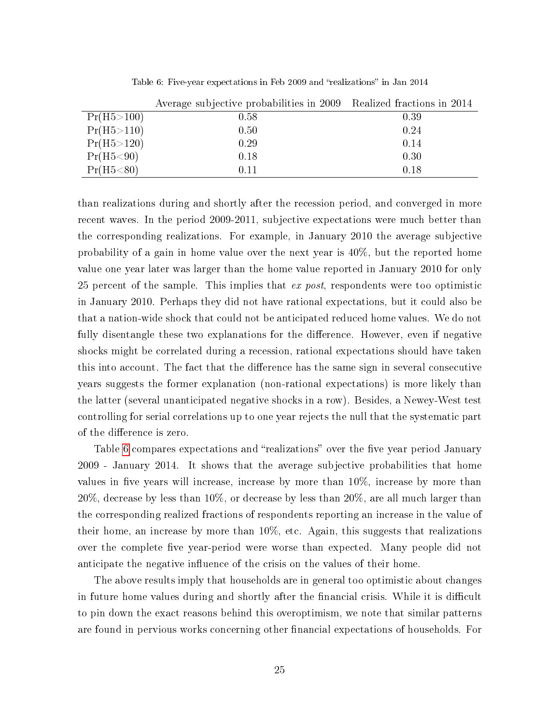<span id="page-26-0"></span>

|              | Average subjective probabilities in 2009 Realized fractions in 2014 |      |
|--------------|---------------------------------------------------------------------|------|
| Pr(H5 > 100) | 0.58                                                                | 0.39 |
| Pr(H5 > 110) | 0.50                                                                | 0.24 |
| Pr(H5 > 120) | 0.29                                                                | 0.14 |
| Pr(H5 < 90)  | 0.18                                                                | 0.30 |
| Pr(H5 < 80)  | 0.11                                                                | 0.18 |

Table 6: Five-year expectations in Feb 2009 and "realizations" in Jan 2014

than realizations during and shortly after the recession period, and converged in more recent waves. In the period 2009-2011, subjective expectations were much better than the corresponding realizations. For example, in January 2010 the average subjective probability of a gain in home value over the next year is 40%, but the reported home value one year later was larger than the home value reported in January 2010 for only 25 percent of the sample. This implies that ex post, respondents were too optimistic in January 2010. Perhaps they did not have rational expectations, but it could also be that a nation-wide shock that could not be anticipated reduced home values. We do not fully disentangle these two explanations for the difference. However, even if negative shocks might be correlated during a recession, rational expectations should have taken this into account. The fact that the difference has the same sign in several consecutive years suggests the former explanation (non-rational expectations) is more likely than the latter (several unanticipated negative shocks in a row). Besides, a Newey-West test controlling for serial correlations up to one year rejects the null that the systematic part of the difference is zero.

Table [6](#page-26-0) compares expectations and "realizations" over the five year period January 2009 - January 2014. It shows that the average subjective probabilities that home values in five years will increase, increase by more than  $10\%$ , increase by more than 20%, decrease by less than 10%, or decrease by less than 20%, are all much larger than the corresponding realized fractions of respondents reporting an increase in the value of their home, an increase by more than 10%, etc. Again, this suggests that realizations over the complete five year-period were worse than expected. Many people did not anticipate the negative influence of the crisis on the values of their home.

The above results imply that households are in general too optimistic about changes in future home values during and shortly after the financial crisis. While it is difficult to pin down the exact reasons behind this overoptimism, we note that similar patterns are found in pervious works concerning other financial expectations of households. For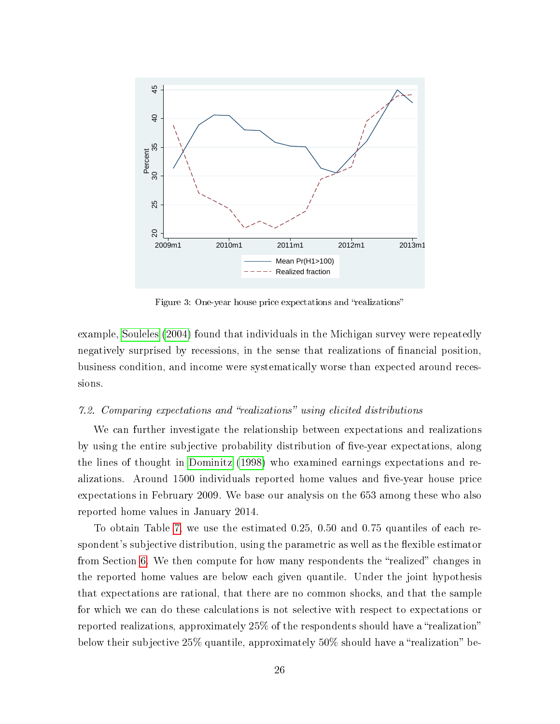<span id="page-27-0"></span>

Figure 3: One-year house price expectations and "realizations"

example, [Souleles](#page-35-12) [\(2004\)](#page-35-12) found that individuals in the Michigan survey were repeatedly negatively surprised by recessions, in the sense that realizations of nancial position, business condition, and income were systematically worse than expected around recessions.

#### 7.2. Comparing expectations and "realizations" using elicited distributions

We can further investigate the relationship between expectations and realizations by using the entire subjective probability distribution of five-year expectations, along the lines of thought in [Dominitz](#page-33-12) [\(1998\)](#page-33-12) who examined earnings expectations and realizations. Around 1500 individuals reported home values and five-year house price expectations in February 2009. We base our analysis on the 653 among these who also reported home values in January 2014.

To obtain Table [7,](#page-28-0) we use the estimated 0.25, 0.50 and 0.75 quantiles of each respondent's subjective distribution, using the parametric as well as the flexible estimator from Section [6.](#page-19-1) We then compute for how many respondents the "realized" changes in the reported home values are below each given quantile. Under the joint hypothesis that expectations are rational, that there are no common shocks, and that the sample for which we can do these calculations is not selective with respect to expectations or reported realizations, approximately 25% of the respondents should have a "realization" below their subjective  $25\%$  quantile, approximately  $50\%$  should have a "realization" be-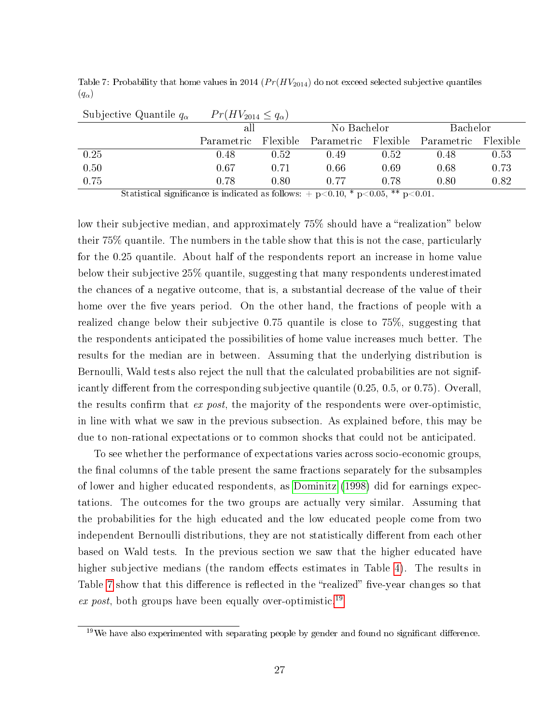| Subjective Quantile $q_{\alpha}$ | $Pr(HV_{2014} \leq q_{\alpha})$ |          |                                                            |             |              |          |  |
|----------------------------------|---------------------------------|----------|------------------------------------------------------------|-------------|--------------|----------|--|
|                                  | all                             |          |                                                            | No Bachelor |              | Bachelor |  |
|                                  | Parametric                      | Flexible | Parametric Flexible                                        |             | – Parametric | Flexible |  |
| 0.25                             | 0.48                            | 0.52     | 0.49                                                       | 0.52        | 0.48         | 0.53     |  |
| 0.50                             | 0.67                            | 0.71     | 0.66                                                       | 0.69        | 0.68         | 0.73     |  |
| 0.75                             | 0.78                            | 0.80     | 0.77<br>그는 그 그는 그녀의 그의 그는 그 그 그는 그녀에서 그는 그 그 그는 그 사람들이 있다. | 0.78        | 0.80         | 0.82     |  |

<span id="page-28-0"></span>Table 7: Probability that home values in 2014 ( $Pr(HV_{2014})$  do not exceed selected subjective quantiles  $(q_{\alpha})$ 

Statistical significance is indicated as follows:  $+$  p $< 0.10$ , \* p $< 0.05$ , \*\* p $< 0.01$ .

low their subjective median, and approximately 75% should have a "realization" below their 75% quantile. The numbers in the table show that this is not the case, particularly for the 0.25 quantile. About half of the respondents report an increase in home value below their subjective 25% quantile, suggesting that many respondents underestimated the chances of a negative outcome, that is, a substantial decrease of the value of their home over the five years period. On the other hand, the fractions of people with a realized change below their subjective 0.75 quantile is close to 75%, suggesting that the respondents anticipated the possibilities of home value increases much better. The results for the median are in between. Assuming that the underlying distribution is Bernoulli, Wald tests also reject the null that the calculated probabilities are not significantly different from the corresponding subjective quantile  $(0.25, 0.5, \text{or } 0.75)$ . Overall, the results confirm that  $ex$  post, the majority of the respondents were over-optimistic. in line with what we saw in the previous subsection. As explained before, this may be due to non-rational expectations or to common shocks that could not be anticipated.

To see whether the performance of expectations varies across socio-economic groups, the final columns of the table present the same fractions separately for the subsamples of lower and higher educated respondents, as [Dominitz](#page-33-12) [\(1998\)](#page-33-12) did for earnings expectations. The outcomes for the two groups are actually very similar. Assuming that the probabilities for the high educated and the low educated people come from two independent Bernoulli distributions, they are not statistically different from each other based on Wald tests. In the previous section we saw that the higher educated have higher subjective medians (the random effects estimates in Table [4\)](#page-23-0). The results in Table [7](#page-28-0) show that this difference is reflected in the "realized" five-year changes so that ex post, both groups have been equally over-optimistic.<sup>[19](#page--1-0)</sup>

 $19\,\text{We have also experienced with separating people by gender and found no significant difference.}$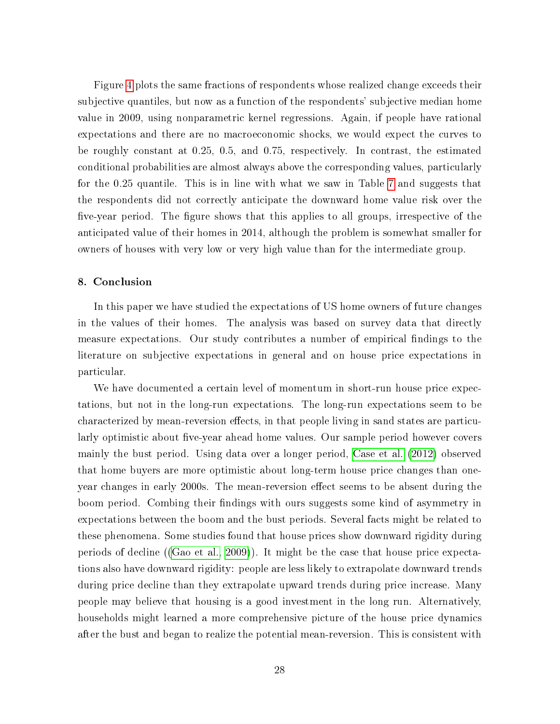Figure [4](#page-30-0) plots the same fractions of respondents whose realized change exceeds their subjective quantiles, but now as a function of the respondents' subjective median home value in 2009, using nonparametric kernel regressions. Again, if people have rational expectations and there are no macroeconomic shocks, we would expect the curves to be roughly constant at 0.25, 0.5, and 0.75, respectively. In contrast, the estimated conditional probabilities are almost always above the corresponding values, particularly for the 0.25 quantile. This is in line with what we saw in Table [7](#page-28-0) and suggests that the respondents did not correctly anticipate the downward home value risk over the five-year period. The figure shows that this applies to all groups, irrespective of the anticipated value of their homes in 2014, although the problem is somewhat smaller for owners of houses with very low or very high value than for the intermediate group.

#### 8. Conclusion

In this paper we have studied the expectations of US home owners of future changes in the values of their homes. The analysis was based on survey data that directly measure expectations. Our study contributes a number of empirical findings to the literature on subjective expectations in general and on house price expectations in particular.

We have documented a certain level of momentum in short-run house price expectations, but not in the long-run expectations. The long-run expectations seem to be characterized by mean-reversion effects, in that people living in sand states are particularly optimistic about five-year ahead home values. Our sample period however covers mainly the bust period. Using data over a longer period, [Case et al.](#page-32-2) [\(2012\)](#page-32-2) observed that home buyers are more optimistic about long-term house price changes than oneyear changes in early 2000s. The mean-reversion effect seems to be absent during the boom period. Combing their findings with ours suggests some kind of asymmetry in expectations between the boom and the bust periods. Several facts might be related to these phenomena. Some studies found that house prices show downward rigidity during periods of decline ([\(Gao et al., 2009\)](#page-34-12)). It might be the case that house price expectations also have downward rigidity: people are less likely to extrapolate downward trends during price decline than they extrapolate upward trends during price increase. Many people may believe that housing is a good investment in the long run. Alternatively, households might learned a more comprehensive picture of the house price dynamics after the bust and began to realize the potential mean-reversion. This is consistent with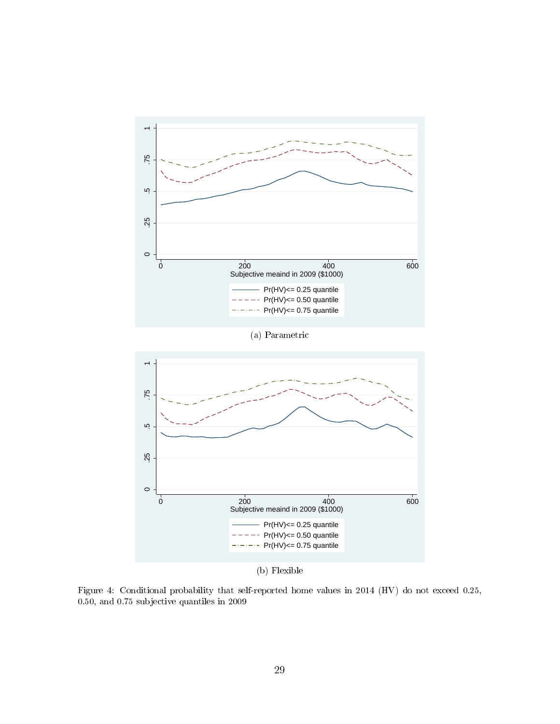<span id="page-30-0"></span>

Figure 4: Conditional probability that self-reported home values in 2014 (HV) do not exceed 0.25, 0.50, and 0.75 subjective quantiles in 2009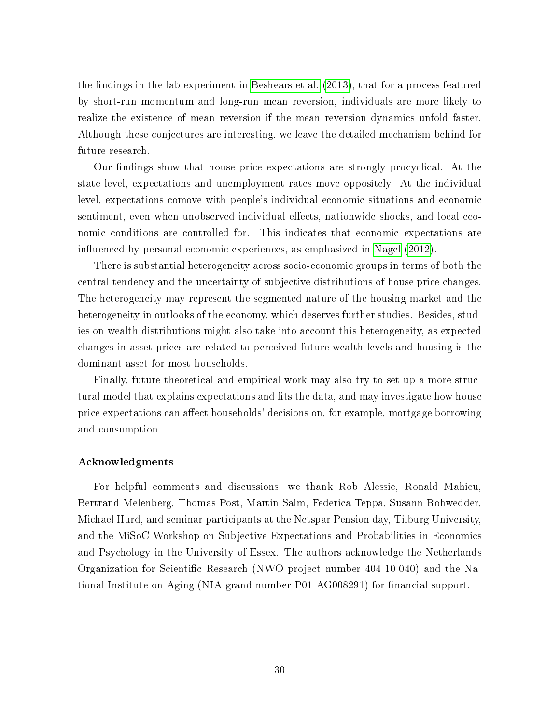the findings in the lab experiment in [Beshears et al.](#page-32-11)  $(2013)$ , that for a process featured by short-run momentum and long-run mean reversion, individuals are more likely to realize the existence of mean reversion if the mean reversion dynamics unfold faster. Although these conjectures are interesting, we leave the detailed mechanism behind for future research.

Our findings show that house price expectations are strongly procyclical. At the state level, expectations and unemployment rates move oppositely. At the individual level, expectations comove with people's individual economic situations and economic sentiment, even when unobserved individual effects, nationwide shocks, and local economic conditions are controlled for. This indicates that economic expectations are influenced by personal economic experiences, as emphasized in [Nagel](#page-35-11)  $(2012)$ .

There is substantial heterogeneity across socio-economic groups in terms of both the central tendency and the uncertainty of subjective distributions of house price changes. The heterogeneity may represent the segmented nature of the housing market and the heterogeneity in outlooks of the economy, which deserves further studies. Besides, studies on wealth distributions might also take into account this heterogeneity, as expected changes in asset prices are related to perceived future wealth levels and housing is the dominant asset for most households.

Finally, future theoretical and empirical work may also try to set up a more structural model that explains expectations and fits the data, and may investigate how house price expectations can affect households' decisions on, for example, mortgage borrowing and consumption.

#### Acknowledgments

For helpful comments and discussions, we thank Rob Alessie, Ronald Mahieu, Bertrand Melenberg, Thomas Post, Martin Salm, Federica Teppa, Susann Rohwedder, Michael Hurd, and seminar participants at the Netspar Pension day, Tilburg University, and the MiSoC Workshop on Subjective Expectations and Probabilities in Economics and Psychology in the University of Essex. The authors acknowledge the Netherlands Organization for Scientific Research (NWO project number  $404-10-040$ ) and the National Institute on Aging (NIA grand number P01 AG008291) for financial support.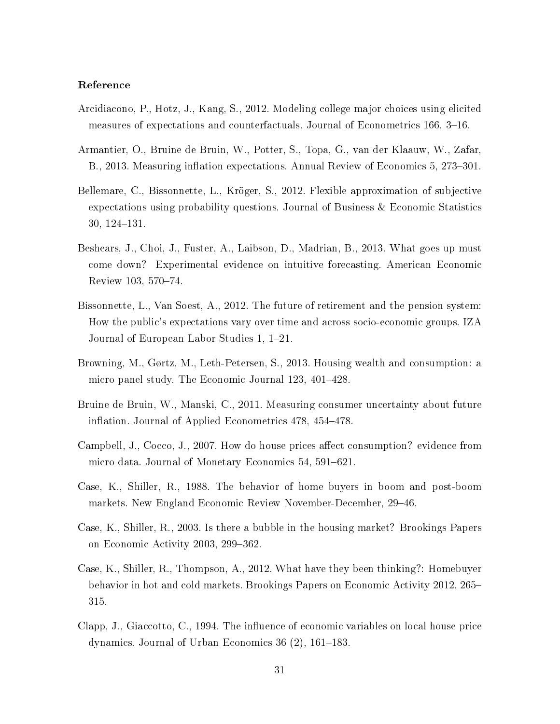#### Reference

- <span id="page-32-9"></span>Arcidiacono, P., Hotz, J., Kang, S., 2012. Modeling college major choices using elicited measures of expectations and counterfactuals. Journal of Econometrics 166, 3-16.
- <span id="page-32-8"></span>Armantier, O., Bruine de Bruin, W., Potter, S., Topa, G., van der Klaauw, W., Zafar, B., 2013. Measuring inflation expectations. Annual Review of Economics 5, 273–301.
- <span id="page-32-3"></span>Bellemare, C., Bissonnette, L., Kröger, S., 2012. Flexible approximation of subjective expectations using probability questions. Journal of Business & Economic Statistics  $30, 124 - 131.$
- <span id="page-32-11"></span>Beshears, J., Choi, J., Fuster, A., Laibson, D., Madrian, B., 2013. What goes up must come down? Experimental evidence on intuitive forecasting. American Economic Review 103, 570-74.
- <span id="page-32-5"></span>Bissonnette, L., Van Soest, A., 2012. The future of retirement and the pension system: How the public's expectations vary over time and across socio-economic groups. IZA Journal of European Labor Studies 1, 1–21.
- <span id="page-32-7"></span>Browning, M., Gørtz, M., Leth-Petersen, S., 2013. Housing wealth and consumption: a micro panel study. The Economic Journal 123, 401–428.
- <span id="page-32-4"></span>Bruine de Bruin, W., Manski, C., 2011. Measuring consumer uncertainty about future inflation. Journal of Applied Econometrics 478, 454–478.
- <span id="page-32-6"></span>Campbell, J., Cocco, J., 2007. How do house prices affect consumption? evidence from micro data. Journal of Monetary Economics 54, 591-621.
- <span id="page-32-0"></span>Case, K., Shiller, R., 1988. The behavior of home buyers in boom and post-boom markets. New England Economic Review November-December, 29–46.
- <span id="page-32-1"></span>Case, K., Shiller, R., 2003. Is there a bubble in the housing market? Brookings Papers on Economic Activity 2003, 299-362.
- <span id="page-32-2"></span>Case, K., Shiller, R., Thompson, A., 2012. What have they been thinking?: Homebuyer behavior in hot and cold markets. Brookings Papers on Economic Activity 2012, 265 315.
- <span id="page-32-10"></span>Clapp, J., Giaccotto, C., 1994. The influence of economic variables on local house price dynamics. Journal of Urban Economics 36  $(2)$ , 161–183.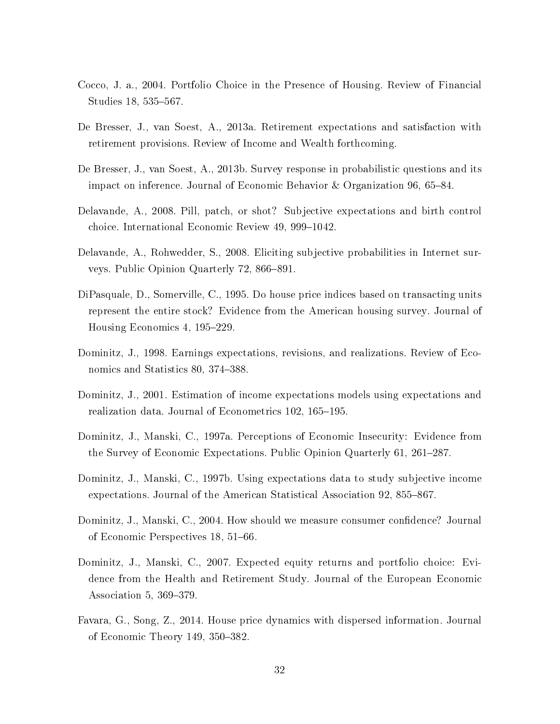- <span id="page-33-4"></span>Cocco, J. a., 2004. Portfolio Choice in the Presence of Housing. Review of Financial Studies 18, 535–567.
- <span id="page-33-9"></span>De Bresser, J., van Soest, A., 2013a. Retirement expectations and satisfaction with retirement provisions. Review of Income and Wealth forthcoming.
- <span id="page-33-2"></span>De Bresser, J., van Soest, A., 2013b. Survey response in probabilistic questions and its impact on inference. Journal of Economic Behavior & Organization 96, 65–84.
- <span id="page-33-5"></span>Delavande, A., 2008. Pill, patch, or shot? Subjective expectations and birth control choice. International Economic Review 49, 999-1042.
- <span id="page-33-6"></span>Delavande, A., Rohwedder, S., 2008. Eliciting subjective probabilities in Internet surveys. Public Opinion Quarterly 72, 866–891.
- <span id="page-33-10"></span>DiPasquale, D., Somerville, C., 1995. Do house price indices based on transacting units represent the entire stock? Evidence from the American housing survey. Journal of Housing Economics 4, 195–229.
- <span id="page-33-12"></span>Dominitz, J., 1998. Earnings expectations, revisions, and realizations. Review of Economics and Statistics 80, 374–388.
- <span id="page-33-1"></span>Dominitz, J., 2001. Estimation of income expectations models using expectations and realization data. Journal of Econometrics 102, 165–195.
- <span id="page-33-11"></span>Dominitz, J., Manski, C., 1997a. Perceptions of Economic Insecurity: Evidence from the Survey of Economic Expectations. Public Opinion Quarterly 61, 261–287.
- <span id="page-33-0"></span>Dominitz, J., Manski, C., 1997b. Using expectations data to study subjective income expectations. Journal of the American Statistical Association 92, 855–867.
- <span id="page-33-8"></span>Dominitz, J., Manski, C., 2004. How should we measure consumer confidence? Journal of Economic Perspectives 18, 51–66.
- <span id="page-33-3"></span>Dominitz, J., Manski, C., 2007. Expected equity returns and portfolio choice: Evidence from the Health and Retirement Study. Journal of the European Economic Association 5,  $369-379$ .
- <span id="page-33-7"></span>Favara, G., Song, Z., 2014. House price dynamics with dispersed information. Journal of Economic Theory 149,  $350-382$ .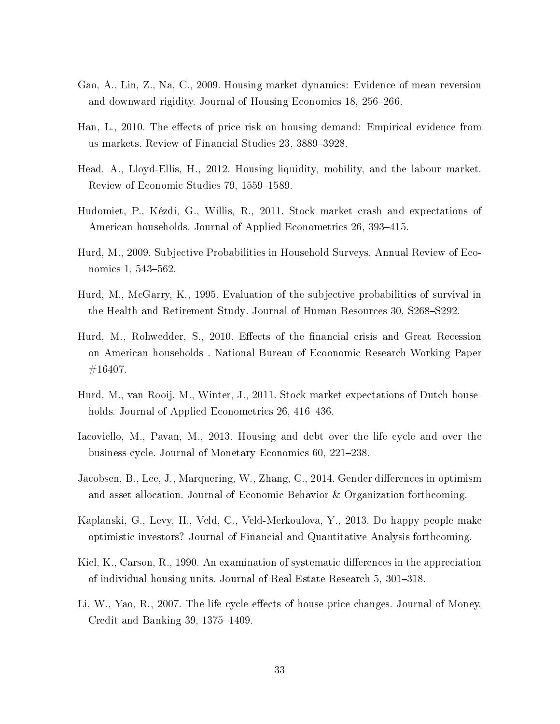- <span id="page-34-12"></span>Gao, A., Lin, Z., Na, C., 2009. Housing market dynamics: Evidence of mean reversion and downward rigidity. Journal of Housing Economics 18, 256–266.
- <span id="page-34-3"></span>Han, L., 2010. The effects of price risk on housing demand: Empirical evidence from us markets. Review of Financial Studies 23, 3889-3928.
- <span id="page-34-6"></span>Head, A., Lloyd-Ellis, H., 2012. Housing liquidity, mobility, and the labour market. Review of Economic Studies 79, 1559-1589.
- <span id="page-34-11"></span>Hudomiet, P., Kézdi, G., Willis, R., 2011. Stock market crash and expectations of American households. Journal of Applied Econometrics 26, 393-415.
- <span id="page-34-1"></span>Hurd, M., 2009. Subjective Probabilities in Household Surveys. Annual Review of Economics 1, 543-562.
- <span id="page-34-0"></span>Hurd, M., McGarry, K., 1995. Evaluation of the subjective probabilities of survival in the Health and Retirement Study. Journal of Human Resources 30, S268–S292.
- <span id="page-34-4"></span>Hurd, M., Rohwedder, S., 2010. Effects of the financial crisis and Great Recession on American households . National Bureau of Ecoonomic Research Working Paper  $#16407.$
- <span id="page-34-8"></span>Hurd, M., van Rooij, M., Winter, J., 2011. Stock market expectations of Dutch households. Journal of Applied Econometrics 26, 416–436.
- <span id="page-34-10"></span>Iacoviello, M., Pavan, M., 2013. Housing and debt over the life cycle and over the business cycle. Journal of Monetary Economics 60, 221–238.
- <span id="page-34-7"></span>Jacobsen, B., Lee, J., Marquering, W., Zhang, C., 2014. Gender differences in optimism and asset allocation. Journal of Economic Behavior & Organization forthcoming.
- <span id="page-34-5"></span>Kaplanski, G., Levy, H., Veld, C., Veld-Merkoulova, Y., 2013. Do happy people make optimistic investors? Journal of Financial and Quantitative Analysis forthcoming.
- <span id="page-34-2"></span>Kiel, K., Carson, R., 1990. An examination of systematic differences in the appreciation of individual housing units. Journal of Real Estate Research 5, 301–318.
- <span id="page-34-9"></span>Li, W., Yao, R., 2007. The life-cycle effects of house price changes. Journal of Money, Credit and Banking 39,  $1375-1409$ .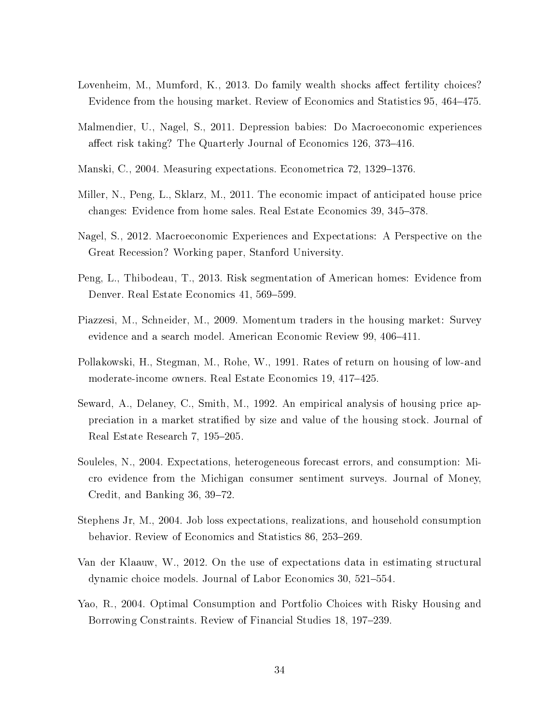- <span id="page-35-7"></span>Lovenheim, M., Mumford, K., 2013. Do family wealth shocks affect fertility choices? Evidence from the housing market. Review of Economics and Statistics 95, 464–475.
- <span id="page-35-10"></span>Malmendier, U., Nagel, S., 2011. Depression babies: Do Macroeconomic experiences affect risk taking? The Quarterly Journal of Economics 126, 373–416.
- <span id="page-35-1"></span>Manski, C., 2004. Measuring expectations. Econometrica 72, 1329–1376.
- <span id="page-35-8"></span>Miller, N., Peng, L., Sklarz, M., 2011. The economic impact of anticipated house price changes: Evidence from home sales. Real Estate Economics 39, 345–378.
- <span id="page-35-11"></span>Nagel, S., 2012. Macroeconomic Experiences and Expectations: A Perspective on the Great Recession? Working paper, Stanford University.
- <span id="page-35-4"></span>Peng, L., Thibodeau, T., 2013. Risk segmentation of American homes: Evidence from Denver. Real Estate Economics 41, 569–599.
- <span id="page-35-5"></span>Piazzesi, M., Schneider, M., 2009. Momentum traders in the housing market: Survey evidence and a search model. American Economic Review 99, 406-411.
- <span id="page-35-2"></span>Pollakowski, H., Stegman, M., Rohe, W., 1991. Rates of return on housing of low-and moderate-income owners. Real Estate Economics 19, 417-425.
- <span id="page-35-3"></span>Seward, A., Delaney, C., Smith, M., 1992. An empirical analysis of housing price appreciation in a market stratied by size and value of the housing stock. Journal of Real Estate Research 7, 195–205.
- <span id="page-35-12"></span>Souleles, N., 2004. Expectations, heterogeneous forecast errors, and consumption: Micro evidence from the Michigan consumer sentiment surveys. Journal of Money, Credit, and Banking  $36, 39-72$ .
- <span id="page-35-0"></span>Stephens Jr, M., 2004. Job loss expectations, realizations, and household consumption behavior. Review of Economics and Statistics 86, 253–269.
- <span id="page-35-9"></span>Van der Klaauw, W., 2012. On the use of expectations data in estimating structural dynamic choice models. Journal of Labor Economics 30, 521–554.
- <span id="page-35-6"></span>Yao, R., 2004. Optimal Consumption and Portfolio Choices with Risky Housing and Borrowing Constraints. Review of Financial Studies 18, 197–239.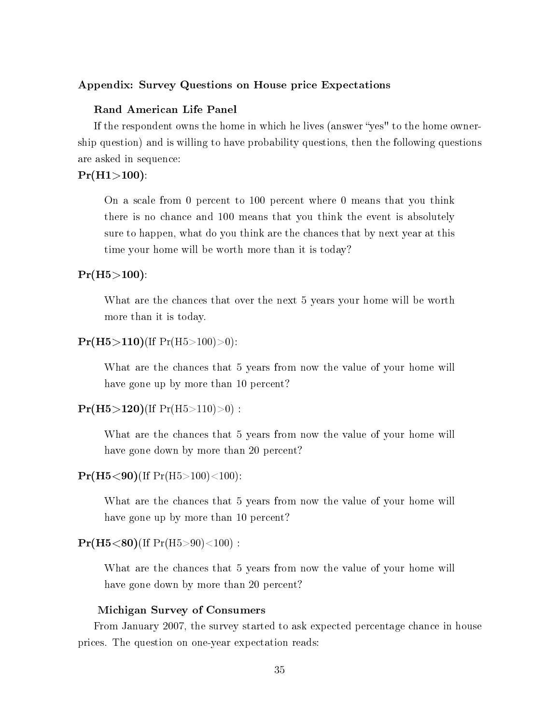#### Appendix: Survey Questions on House price Expectations

#### Rand American Life Panel

If the respondent owns the home in which he lives (answer "yes" to the home ownership question) and is willing to have probability questions, then the following questions are asked in sequence:

#### $Pr(H1>100)$ :

On a scale from 0 percent to 100 percent where 0 means that you think there is no chance and 100 means that you think the event is absolutely sure to happen, what do you think are the chances that by next year at this time your home will be worth more than it is today?

#### $Pr(H5 > 100)$ :

What are the chances that over the next 5 years your home will be worth more than it is today.

#### $Pr(H5>110)$ (If  $Pr(H5>100)>0$ ):

What are the chances that 5 years from now the value of your home will have gone up by more than 10 percent?

#### $Pr(H5>120)$ (If  $Pr(H5>110)>0$ ) :

What are the chances that 5 years from now the value of your home will have gone down by more than 20 percent?

#### $Pr(H5 < 90)$ (If  $Pr(H5 > 100) < 100$ ):

What are the chances that 5 years from now the value of your home will have gone up by more than 10 percent?

#### $Pr(H5 < 80)$ (If  $Pr(H5 > 90) < 100$ ) :

What are the chances that 5 years from now the value of your home will have gone down by more than 20 percent?

#### Michigan Survey of Consumers

From January 2007, the survey started to ask expected percentage chance in house prices. The question on one-year expectation reads: